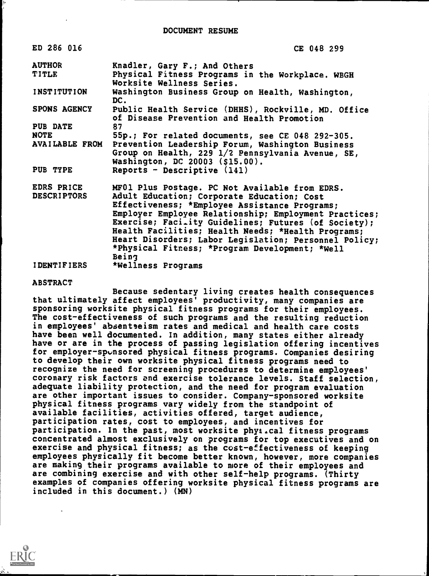| ED 286 016         | CE 048 299                                                                                        |
|--------------------|---------------------------------------------------------------------------------------------------|
| <b>AUTHOR</b>      | Knadler, Gary F.; And Others                                                                      |
| <b>TITLE</b>       | Physical Fitness Programs in the Workplace. WBGH<br>Worksite Wellness Series.                     |
| <b>INSTITUTION</b> | Washington Business Group on Health, Washington,<br>DC.                                           |
| SPONS AGENCY       | Public Health Service (DHHS), Rockville, MD. Office<br>of Disease Prevention and Health Promotion |
| PUB DATE           | 87                                                                                                |
| <b>NOTE</b>        | 55p.; For related documents, see CE 048 292-305.                                                  |
| AVAILABLE FROM     | Prevention Leadership Forum, Washington Business                                                  |
|                    | Group on Health, 229 1/2 Pennsylvania Avenue, SE,<br>Washington, DC 20003 (\$15.00).              |
| PUB TYPE           | Reports - Descriptive (141)                                                                       |
| EDRS PRICE         | MF01 Plus Postage. PC Not Available from EDRS.                                                    |
| <b>DESCRIPTORS</b> | Adult Education; Corporate Education; Cost                                                        |
|                    | Effectiveness; *Employee Assistance Programs;                                                     |
|                    | Employer Employee Relationship; Employment Practices;                                             |
|                    | Exercise; Faci.ity Guidelines; Futures (of Society);                                              |
|                    | Health Facilities; Health Needs; *Health Programs;                                                |
|                    | Heart Disorders; Labor Legislation; Personnel Policy;                                             |
|                    | *Physical Fitress; *Program Development; *Well                                                    |
|                    | Being                                                                                             |
| <b>IDENTIFIERS</b> | *Wellness Programs                                                                                |

#### ABSTRACT

Because sedentary living creates health consequences that ultimately affect employees' productivity, many companies are sponsoring worksite physical fitness programs for their employees. The cost-effectiveness of such programs and the resulting reduction in employees' absenteeism rates and medical and health care costs have been well documented. In addition, many states either already have or are in the process of passing legislation offering incentives for employer-sponsored physical fitness programs. Companies desiring to develop their own worksite physical fitness programs need to recognize the need for screening procedures to determine employees' coronary risk factors and exercise tolerance levels. Staff selection, adequate liability protection, and the need for program evaluation are other important issues to consider. Company-sponsored worksite physical fitness programs vary widely from the standpoint of available facilities, activities offered, target audience, participation rates, cost to employees, and incentives for participation. In the past, most worksite phys.cal fitness programs concentrated almost exclusively on programs for top executives and on exercise and physical fitness; as the cost-effectiveness of keeping employees physically fit become better known, however, more companies are making their programs available to more of their employees and are combining exercise and with other self-help programs. (Thirty examples of companies offering worksite physical fitness programs are included in this document.) (MN)

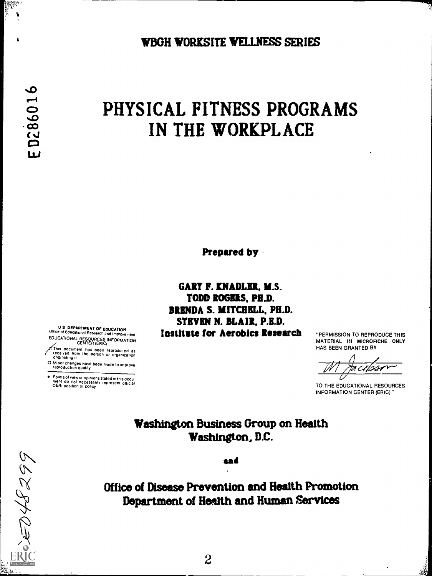WBGH WORKSITE WELLNESS SERIES

on ann<br>C

# PHYSICAL FITNESS PROGRAMS IN THE WORKPLACE

Prepared by

GARY F. KNADLER. M.S. TODD ROGERS. PH.D. BRENDA S. MITCHELL, PH.D. STEVEN N. BLAIR. P.E.D. Institute for Aerobics Research "PERMISSION TO REPRODUCE THIS

MATERIAL IN MICROFICHE ONLY HAS BEEN GRANTED BY

'ss

TO THE EDUCATIONAL RESOURCES INFORMATION CENTER (ERIC)"

Washington Business Group on Health Washington, D.C.

sad

Office of Disease Prevention and Health Promotion Department of Health and Human services

2

U S DEPARTMENT OF EDUCATION Office of Educational Research and Improvement EDUCATIONAL RESOURCES INFORMATION CENTER (ERIC)

Ihis document has been reproduced as<br>received from the person or organization<br>originating it

O Minor changes have been made to improve reproduction quality

Points of view or opinions staled In this docu ment do not necessarily represent official OERI position or policy

EQ48299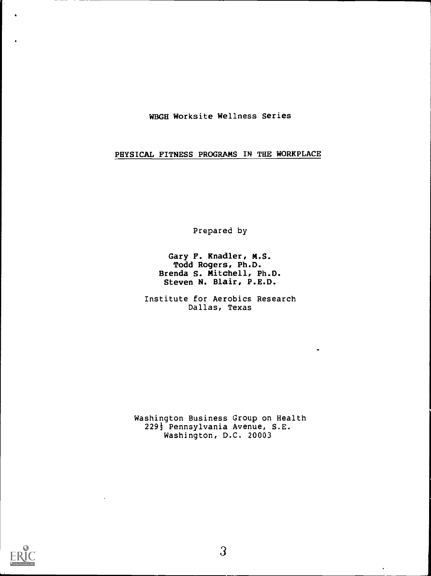WBGH Worksite Wellness Series

PHYSICAL FITNESS PROGRAMS IN THE WORKPLACE

Prepared by

Gary F. Knadler, M.S. Todd Rogers, Ph.D. Brenda S. Mitchell, Ph.D. Steven N. Blair, P.E.D.

Institute for Aerobics Research Dallas, Texas

Washington Business Group on Health 229½ Pennsylvania Avenue, S.E. Washington, D.C. 20003

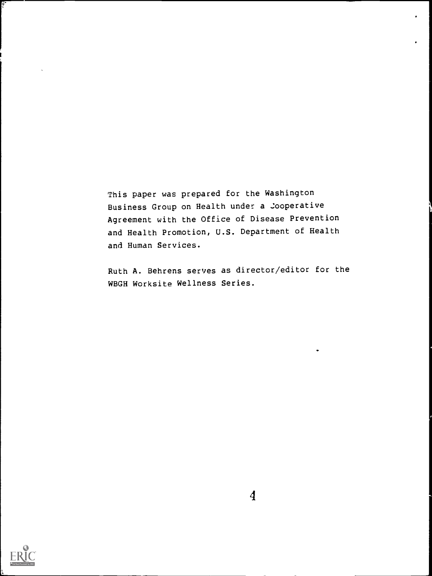This paper was prepared for the Washington Business Group on Health under a Cooperative Agreement with the Office of Disease Prevention and Health Promotion, U.S. Department of Health and Human Services.

Ruth A. Behrens serves as director/editor for the WBGH Worksite Wellness Series.



Ģ.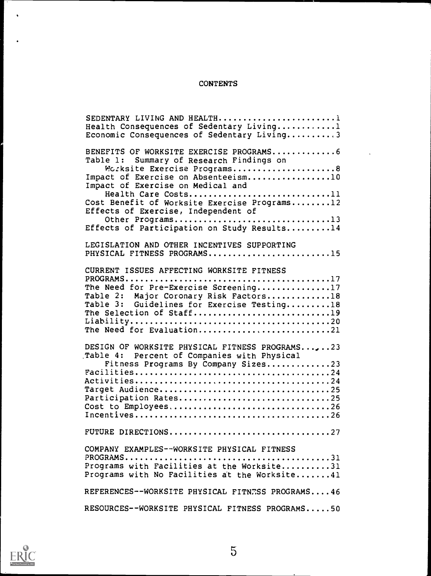# **CONTENTS**

| SEDENTARY LIVING AND HEALTH1<br>Health Consequences of Sedentary Living1<br>Economic Consequences of Sedentary Living3 |
|------------------------------------------------------------------------------------------------------------------------|
| BENEFITS OF WORKSITE EXERCISE PROGRAMS6                                                                                |
| Table 1: Summary of Research Findings on<br>Morksite Exercise Programs8                                                |
| Impact of Exercise on Absenteeism10<br>Impact of Exercise on Medical and                                               |
| Health Care Costs11<br>Cost Benefit of Worksite Exercise Programs12                                                    |
| Effects of Exercise, Independent of<br>Other Programs13                                                                |
| Effects of Participation on Study Results14<br>LEGISLATION AND OTHER INCENTIVES SUPPORTING                             |
| PHYSICAL FITNESS PROGRAMS15                                                                                            |
| CURRENT ISSUES AFFECTING WORKSITE FITNESS                                                                              |
| The Need for Pre-Exercise Screening17<br>Table 2: Major Coronary Risk Factors18                                        |
| Table 3: Guidelines for Exercise Testing18<br>The Selection of Staff19                                                 |
| The Need for Evaluation21                                                                                              |
| DESIGN OF WORKSITE PHYSICAL FITNESS PROGRAMS,23<br>Table 4: Percent of Companies with Physical                         |
| Fitness Programs By Company Sizes23                                                                                    |
| Target Audience25                                                                                                      |
| Participation Rates25<br>Cost to Employees26                                                                           |
| FUTURE DIRECTIONS27                                                                                                    |
| COMPANY EXAMPLES--WORKSITE PHYSICAL FITNESS                                                                            |
| Programs with Facilities at the Worksite31                                                                             |
| Programs with No Facilities at the Worksite41                                                                          |
| REFERENCES--WORKSITE PHYSICAL FITNESS PROGRAMS46                                                                       |
| RESOURCES--WORKSITE PHYSICAL FITNESS PROGRAMS50                                                                        |



 $\bullet$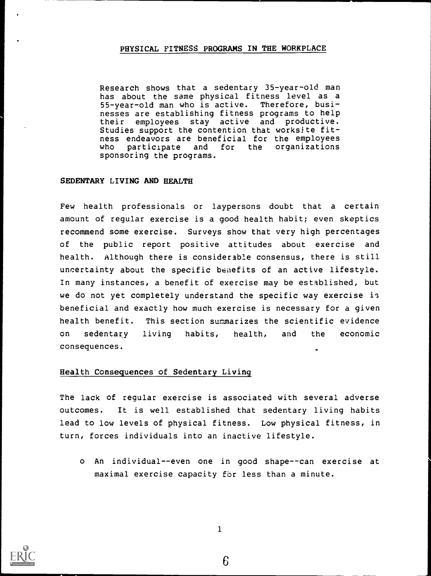#### PHYSICAL FITNESS PROGRAMS IN THE WORKPLACE

Research shows that a sedentary 35-year-old man has about the same physical fitness level as a 55-year-old man who is active. Therefore, businesses are establishing fitness programs to help their employees stay active and productive. Studies support the contention that worksite fitness endeavors are beneficial for the employees who participate and for the organizations sponsoring the programs.

#### SEDENTARY LIVING AND HEALTH

Few health professionals or laypersons doubt that a certain amount of regular exercise is a good health habit; even skeptics recommend some exercise. Surveys show that very high percentages of the public report positive attitudes about exercise and health. although there is considerable consensus, there is still uncertainty about the specific benefits of an active lifestyle. In many instances, a benefit of exercise may be established, but we do not yet completely understand the specific way exercise is beneficial and exactly how much exercise is necessary for a given health benefit. This section summarizes the scientific evidence on sedentary living habits, health, and the economic consequences.

#### Health Consequences of Sedentary Living

The lack of regular exercise is associated with several adverse outcomes. It is well established that sedentary living habits lead to low levels of physical fitness. Low physical fitness, in turn, forces individuals into an inactive lifestyle.

o An individual--even one in good shape--can exercise at maximal exercise capacity for less than a minute.



1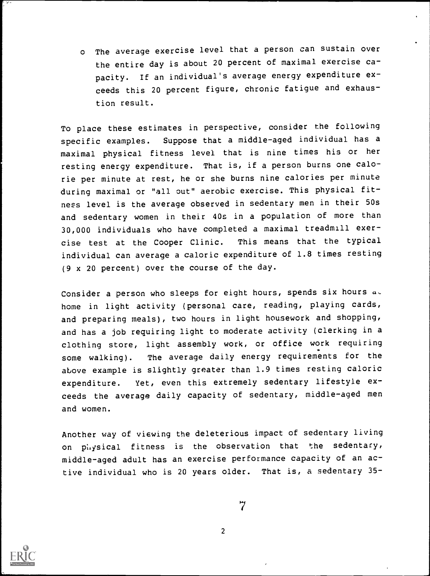<sup>o</sup> The average exercise level that a person can sustain over the entire day is about 20 percent of maximal exercise capacity. If an individual's average energy expenditure exceeds this 20 percent figure, chronic fatigue and exhaustion result.

To place these estimates in perspective, consider the following specific examples. Suppose that a middle-aged individual has a maximal physical fitness level that is nine times his or her resting energy expenditure. That is, if a person burns one calorie per minute at rest, he or she burns nine calories per minute during maximal or "all out" aerobic exercise. This physical fitness level is the average observed in sedentary men in their 50s and sedentary women in their 40s in a population of more than 30,000 individuals who have completed a maximal treadmill exercise test at the Cooper Clinic. This means that the typical individual can average a caloric expenditure of 1.8 times resting (9 x 20 percent) over the course of the day.

Consider a person who sleeps for eight hours, spends six hours  $a \circ$ home in light activity (personal care, reading, playing cards, and preparing meals), two hours in light housework and shopping, and has a job requiring light to moderate activity (clerking in a clothing store, light assembly work, or office work requiring some walking). The average daily energy requirements for the above example is slightly greater than 1.9 times resting caloric expenditure. Yet, even this extremely sedentary lifestyle exceeds the average daily capacity of sedentary, middle-aged men and women.

Another way of viewing the deleterious impact of sedentary living on physical fitness is the observation that the sedentary, middle-aged adult has an exercise performance capacity of an active individual who is 20 years older. That is, a sedentary 35-



 $\begin{array}{c} 7 \\ 2 \end{array}$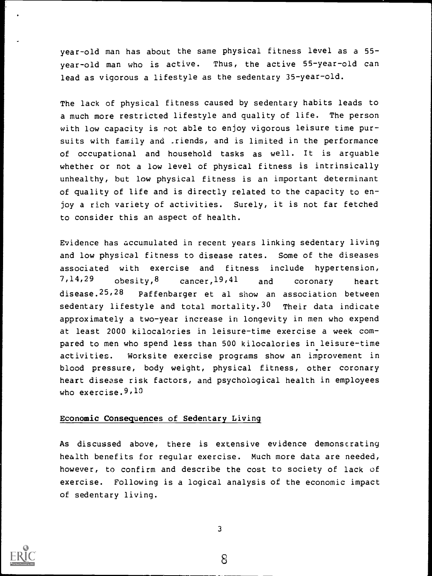year-old man has about the same physical fitness level as a 55 year -old man who is active. Thus, the active 55-year-old can lead as vigorous a lifestyle as the sedentary 35-year-old.

The lack of physical fitness caused by sedentary habits leads to a much more restricted lifestyle and quality of life. The person with low capacity is rot able to enjoy vigorous leisure time pursuits with family and \_riends, and is limited in the performance of occupational and household tasks as well. It is arguable whether or not a low level of physical fitness is intrinsically unhealthy, but low physical fitness is an important determinant of quality of life and is directly related to the capacity to enjoy a rich variety of activities. Surely, it is not far fetched to consider this an aspect of health.

Evidence has accumulated in recent years linking sedentary living and low physical fitness to disease rates. Some of the diseases associated with exercise and fitness include hypertension, 7,14,29 obesity, 8 cancer, 19,41 and coronary heart disease. 25,28 Paffenbarger et al show an association between sedentary lifestyle and total mortality.  $30$  Their data indicate approximately a two-year increase in longevity in men who expend at least 2000 kilocalories in leisure-time exercise a week compared to men who spend less than 500 kilocalories in leisure-time activities. Worksite exercise programs show an improvement in blood pressure, body weight, physical fitness, other coronary heart disease risk factors, and psychological health in employees who exercise.  $9,10$ 

#### Economic Consequences of Sedentary Living

As discussed above, there is extensive evidence demonstrating health benefits for regular exercise. Much more data are needed, however, to confirm and describe the cost to society of lack of exercise. Following is a logical analysis of the economic impact of sedentary living.

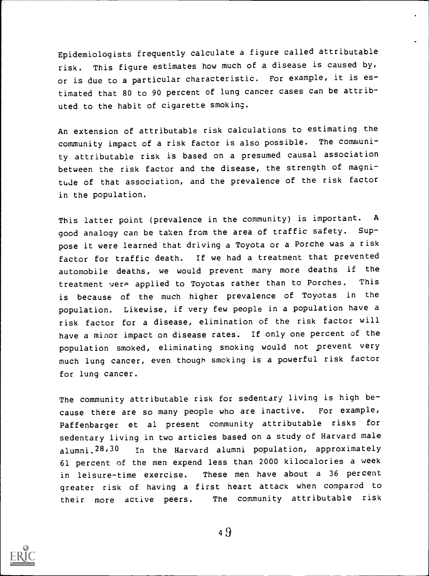Epidemiologists frequently calculate a figure called attributable risk. This figure estimates how much of a disease is caused by, or is due to a particular characteristic. For example, it is estimated that 80 to 90 percent of lung cancer cases can be attributed to the habit of cigarette smoking.

An extension of attributable risk calculations to estimating the community impact of a risk factor is also possible. The community attributable risk is based on a presumed causal association between the risk factor and the disease, the strength of magnitude of that association, and the prevalence of the risk factor in the population.

This latter point (prevalence in the community) is important. A good analogy can be taken from the area of traffic safety. Suppose it were learned that driving a Toyota or a Porche was a risk factor for traffic death. If we had a treatment that prevented automobile deaths, we would prevent many more deaths if the treatment were applied to Toyotas rather than to Porches. This is because of the much higher prevalence of Toyotas in the population. Likewise, if very few people in a population have a risk factor for a disease, elimination of the risk factor will have a minor impact on disease rates. If only one percent of the population smoked, eliminating smoking would not prevent very much lung cancer, even though smoking is a powerful risk factor for lung cancer.

The community attributable risk for sedentary living is high because there are so many people who are inactive. For example, Paffenbarger et al present community attributable risks for sedentary living in two articles based on a study of Harvard male alumni.28,30 In the Harvard alumni population, approximately 61 percent of the men expend less than 2000 kilocalories a week in leisure-time exercise. These men have about <sup>a</sup> <sup>36</sup> percent greater risk of having a first heart attack when compared to their more active peers. The community attributable risk

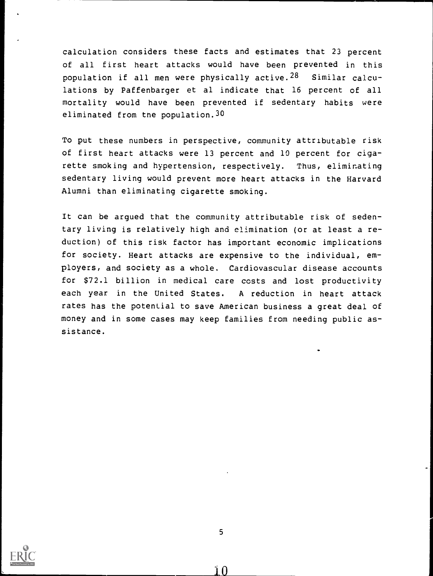calculation considers these facts and estimates that 23 percent of all first heart attacks would have been prevented in this population if all men were physically active.<sup>28</sup> Similar calculations by Paffenbarger et al indicate that 16 percent of all mortality would have been prevented if sedentary habits were eliminated from tne population.30

To put these numbers in perspective, community attributable risk of first heart attacks were 13 percent and 10 percent for cigarette smoking and hypertension, respectively. Thus, eliminating sedentary living would prevent more heart attacks in the Harvard Alumni than eliminating cigarette smoking.

It can be argued that the community attributable risk of sedentary living is relatively high and elimination (or at least a reduction) of this risk factor has important economic implications for society. Heart attacks are expensive to the individual, employers, and society as a whole. Cardiovascular disease accounts for \$72.1 billion in medical care costs and lost productivity each year in the United States. A reduction in heart attack rates has the potential to save American business a great deal of money and in some cases may keep families from needing public assistance.



ìΛ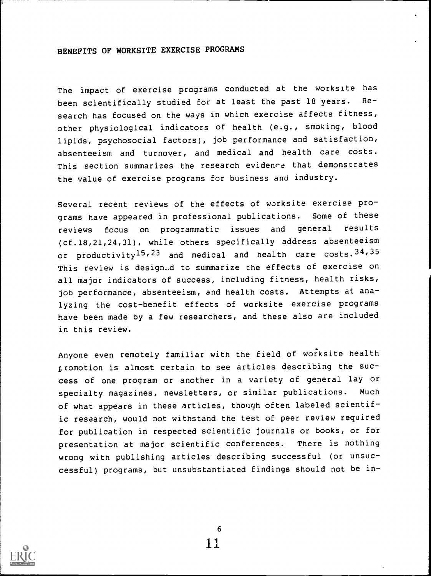#### BENEFITS OF WORKSITE EXERCISE PROGRAMS

The impact of exercise programs conducted at the worksite has been scientifically studied for at least the past 18 years. Research has focused on the ways in which exercise affects fitness, other physiological indicators of health (e.g., smoking, blood lipids, psychosocial factors), job performance and satisfaction, absenteeism and turnover, and medical and health care costs. This section summarizes the research evidence that demonstrates the value of exercise programs for business and industry.

Several recent reviews of the effects of worksite exercise programs have appeared in professional publications. Some of these reviews focus on programmatic issues and general results (cf.18,21,24,31), while others specifically address absenteeism or productivity<sup>15,23</sup> and medical and health care costs.  $34,35$ This review is designed to summarize the effects of exercise on all major indicators of success, including fitness, health risks, job performance, absenteeism, and health costs. Attempts at analyzing the cost-benefit effects of worksite exercise programs have been made by a few researchers, and these also are included in this review.

Anyone even remotely familiar with the field of worksite health promotion is almost certain to see articles describing the success of one program or another in a variety of general lay or specialty magazines, newsletters, or similar publications. Much of what appears in these articles, though often labeled scientific research, would not withstand the test of peer review required for publication in respected scientific journals or books, or for presentation at major scientific conferences. There is nothing wrong with publishing articles describing successful (or unsuccessful) programs, but unsubstantiated findings should not be in-

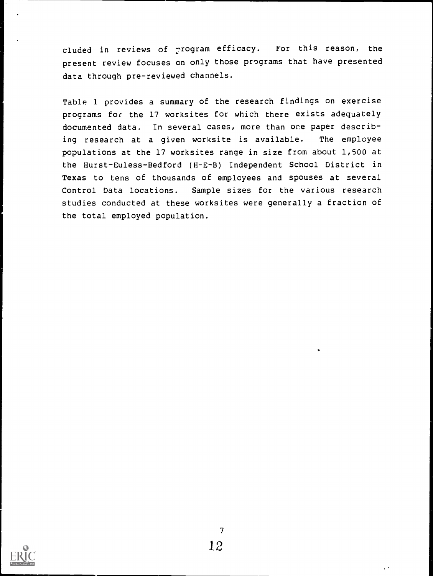cluded in reviews of  $_{r}$ rogram efficacy. For this reason, the present review focuses on only those programs that have presented data through pre-reviewed channels.

Table 1 provides a summary of the research findings on exercise programs for the 17 worksites for which there exists adequately documented data. In several cases, more than one paper describing research at <sup>a</sup> given worksite is available. The employee populations at the 17 worksites range in size from about 1,500 at the Hurst-Euless-Bedford (H-E-B) Independent School District in Texas to tens of thousands of employees and spouses at several Control Data locations. Sample sizes for the various research studies conducted at these worksites were generally a fraction of the total employed population.

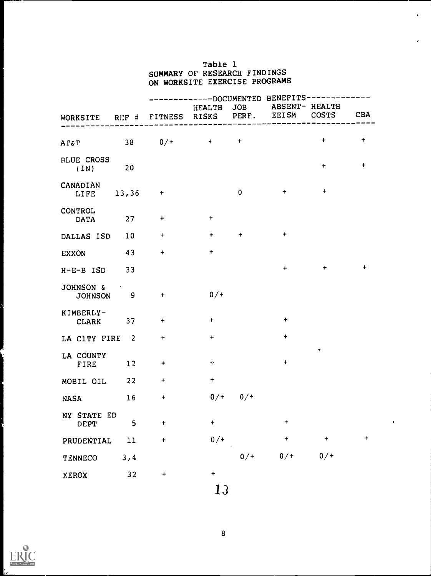#### Table 1. SUMMARY OF RESEARCH FINDINGS ON WORKSITE EXERCISE PROGRAMS

 $\bullet$ 

|                                          |        | --------DOCUMENTED BENEFITS--------- |           |             |                           |              |            |
|------------------------------------------|--------|--------------------------------------|-----------|-------------|---------------------------|--------------|------------|
| WORKSITE RUF # FITNESS RISKS PERF. EEISM |        |                                      |           |             | HEALTH JOB ABSENT- HEALTH | <b>COSTS</b> | <b>CBA</b> |
| ΑΓ&Τ                                     |        | $38$ 0/+ + +                         |           |             |                           | $\ddot{}$    | $\ddot{}$  |
| <b>BLUE CROSS</b><br>(IN)                | 20     |                                      |           |             |                           | $+$          | $\ddot{}$  |
| CANADIAN<br>LIFE                         | 13,36  | $+$                                  |           | $\mathbf 0$ | $+$                       | $\ddot{}$    |            |
| CONTROL<br><b>DATA</b>                   | 27     | $\ddot{}$                            | $\ddot{}$ |             |                           |              |            |
| DALLAS ISD                               | 10     | $\ddot{}$                            | $+$       | $\ddot{}$   | $\ddot{\phantom{1}}$      |              |            |
| <b>EXXON</b>                             | 43     | $\ddot{}$                            | $\ddot{}$ |             |                           |              |            |
| $H-E-B$ ISD                              | 33     |                                      |           |             | $+$                       | $\ddot{}$    | $\ddot{}$  |
| JOHNSON &<br>JOHNSON 9                   |        | $+$                                  | $0/$ +    |             |                           |              |            |
| KIMBERLY-<br><b>CLARK</b>                | 37     | $\ddot{}$                            | $+$       |             | $+$                       |              |            |
| LA CITY FIRE 2                           |        | $\ddagger$                           | $\ddot{}$ |             | $+$                       |              |            |
| LA COUNTY<br>FIRE                        | 12     | $+$                                  | $\div$    |             | $\ddot{}$                 |              |            |
| MOBIL OIL                                | 22     | $+$                                  | $\pm$     |             |                           |              |            |
| NASA                                     | 16     | $\pmb{+}$                            | $0/$ +    | $0/$ +      |                           |              |            |
| NY STATE ED<br>DEPT                      | 5      | t                                    | $\ddot{}$ |             | +                         |              |            |
| PRUDENTIAL                               | $11\,$ | $\ddot{}$                            | $0/$ +    |             | +                         | $\ddagger$   | $\pmb{+}$  |
| TENNECO                                  | 3, 4   |                                      |           | $0/$ +      | $0/$ +                    | $0/ +$       |            |
| <b>XEROX</b>                             | 32     | $\pmb{+}$                            | $\ddot{}$ |             |                           |              |            |
|                                          |        |                                      |           |             |                           |              |            |

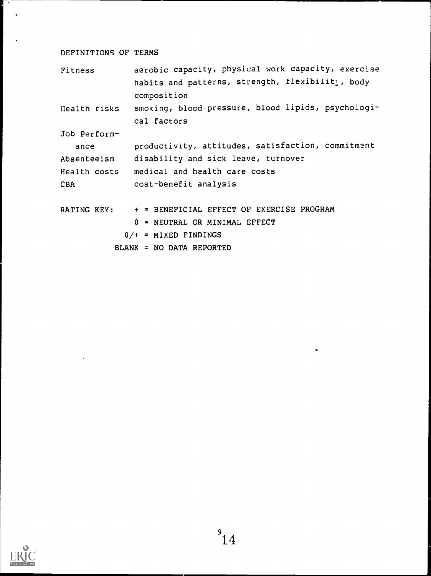# DEFINITIONS OF TERMS

 $\overline{\phantom{a}}$  $\langle \cdot \rangle$ 

| Fitness                                                   | aerobic capacity, physical work capacity, exercise |  |  |  |  |  |  |  |  |
|-----------------------------------------------------------|----------------------------------------------------|--|--|--|--|--|--|--|--|
|                                                           | habits and patterns, strength, flexibilit;, body   |  |  |  |  |  |  |  |  |
|                                                           | composition                                        |  |  |  |  |  |  |  |  |
| Health risks                                              | smoking, blood pressure, blood lipids, psychologi- |  |  |  |  |  |  |  |  |
|                                                           | cal factors                                        |  |  |  |  |  |  |  |  |
| Job Perform-                                              |                                                    |  |  |  |  |  |  |  |  |
| productivity, attitudes, satisfaction, commitment<br>ance |                                                    |  |  |  |  |  |  |  |  |
| Absenteeism                                               | disability and sick leave, turnover                |  |  |  |  |  |  |  |  |
|                                                           | Health costs medical and health care costs         |  |  |  |  |  |  |  |  |
| <b>CBA</b>                                                | cost-benefit analysis                              |  |  |  |  |  |  |  |  |
|                                                           |                                                    |  |  |  |  |  |  |  |  |
| RATING KEY:                                               | + = BENEFICIAL EFFECT OF EXERCISE PROGRAM          |  |  |  |  |  |  |  |  |
|                                                           | $0 = NEUTRAL$ OR MINIMAL EFFECT                    |  |  |  |  |  |  |  |  |
|                                                           | $0/+$ = MIXED FINDINGS                             |  |  |  |  |  |  |  |  |
|                                                           | $BLANK = NO DATA REPORTED$                         |  |  |  |  |  |  |  |  |

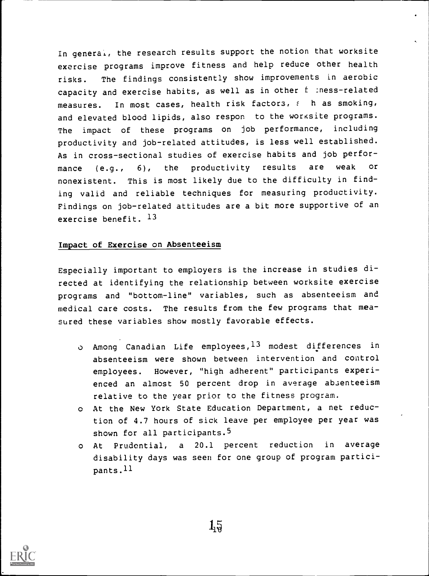In general, the research results support the notion that worksite exercise programs improve fitness and help reduce other health risks. The findings consistently show improvements in aerobic capacity and exercise habits, as well as in other f :ness-related measures. In most cases, health risk factors,  $f$  h as smoking, and elevated blood lipids, also respon to the worksite programs. The impact of these programs on job performance, including productivity and job-related attitudes, is less well established. As in cross-sectional studies of exercise habits and job performance (e.g., 6), the productivity results are weak or nonexistent. This is most likely due to the difficulty in finding valid and reliable techniques for measuring productivity. Findings on job-related attitudes are a bit more supportive of an exercise benefit. 13

#### Impact of Exercise on Absenteeism

Especially important to employers is the increase in studies directed at identifying the relationship between worksite exercise programs and "bottom-line" variables, such as absenteeism and medical care costs. The results from the few programs that measured these variables show mostly favorable effects.

- o Among Canadian Life employees,13 modest differences in absenteeism were shown between intervention and control employees. However, "high adherent" participants experienced an almost 50 percent drop in average absenteeism relative to the year prior to the fitness program.
- o At the New York State Education Department, a net reduction of 4.7 hours of sick leave per employee per year was shown for all participants.<sup>5</sup>
- o At Prudential, a 20.1 percent reduction in average disability days was seen for one group of program participants.11

 $1\overline{9}$ 



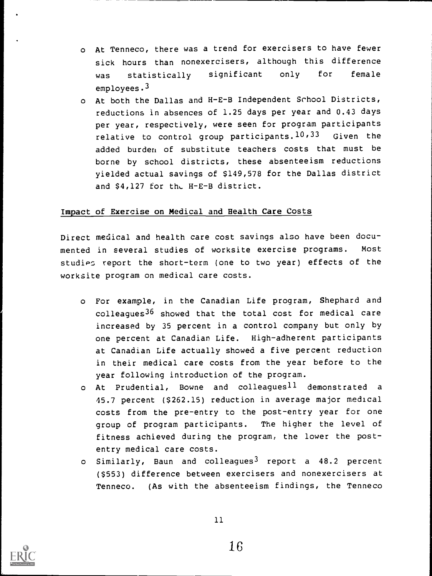- o At Tenneco, there was a trend for exercisers to have fewer sick hours than nonexercisers, although this difference was statistically significant only for female employees.<sup>3</sup>
- o At both the Dallas and H-E-B Independent School Districts, reductions in absences of 1.25 days per year and 0.43 days per year, respectively, were seen for program participants relative to control group participants.  $10,33$  Given the added burden of substitute teachers costs that must be borne by school districts, these absenteeism reductions yielded actual savings of \$149,578 for the Dallas district and \$4,127 for the H-E-B district.

#### Impact of Exercise on Medical and Health Care Costs

Direct medical and health care cost savings also have been documented in several studies of worksite exercise programs. Most studies report the short-term (one to two year) effects of the worksite program on medical care costs.

- o For example, in the Canadian Life program, Shephard and colleagues<sup>36</sup> showed that the total cost for medical care increased by 35 percent in a control company but only by one percent at Canadian Life. High-adherent participants at Canadian Life actually showed a five percent reduction in their medical care costs from the year before to the year following introduction of the program.
- $\circ$  At Prudential, Bowne and colleagues<sup>11</sup> demonstrated a 45.7 percent (\$262.15) reduction in average major medical costs from the pre-entry to the post-entry year for one group of program participants. The higher the level of fitness achieved during the program, the lower the postentry medical care costs.
- o Similarly, Baun and colleagues<sup>3</sup> report a 48.2 percent (\$553) difference between exercisers and nonexercisers at Tenneco. (As with the absenteeism findings, the Tenneco

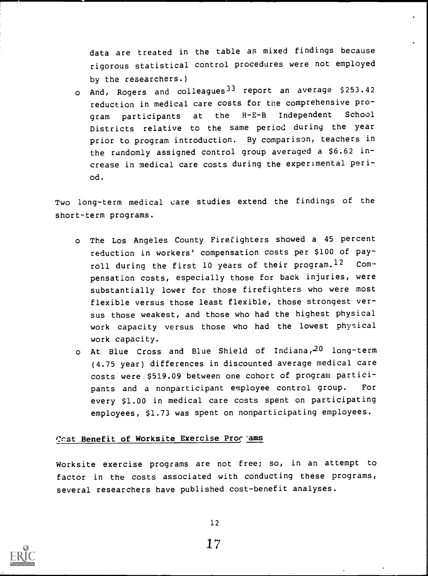data are treated in the table as mixed findings because rigorous statistical control procedures were not employed by the researchers.)

o And, Rogers and colleagues<sup>33</sup> report an average \$253.42 reduction in medical care costs for the comprehensive program participants at the H-E-B Independent School Districts relative to the same period during the year prior to program introduction. By comparison, teachers in the randomly assigned control group averaged a \$6.62 increase in medical care costs during the experimental period.

Two long-term medical care studies extend the findings of the short-term programs.

- o The Los Angeles County Firefighters showed a 45 percent reduction in workers' compensation costs per \$100 of payroll during the first 10 years of their program.<sup>12</sup> Compensation costs, especially those for back injuries, were substantially lower for those firefighters who were most flexible versus those least flexible, those strongest versus those weakest, and those who had the highest physical work capacity versus those who had the lowest physical work capacity.
- o At Blue Cross and Blue Shield of Indiana, 20 long-term (4.75 year) differences in discounted average medical care costs were \$519.09 between one cohort of program participants and a nonparticipant employee control group. For every \$1.00 in medical care costs spent on participating employees, \$1.73 was spent on nonparticipating employees.

#### Cost Benefit of Worksite Exercise Procems

Worksite exercise programs are not free; so, in an attempt to factor in the costs associated with conducting these programs, several researchers have published cost-benefit analyses.



12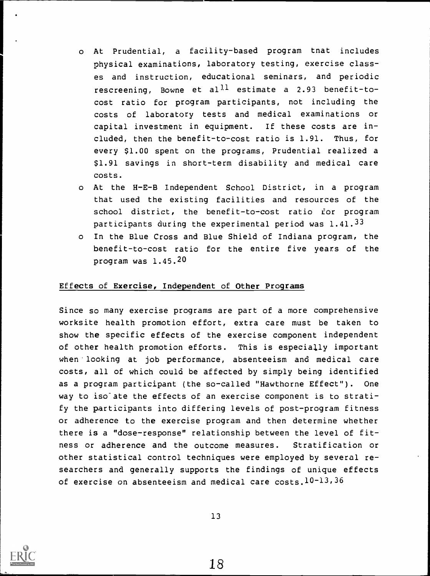- o At Prudential, a facility-based program tnat includes physical examinations, laboratory testing, exercise classes and instruction, educational seminars, and periodic rescreening, Bowne et al<sup>ll</sup> estimate a 2.93 benefit-tocost ratio for program participants, not including the costs of laboratory tests and medical examinations or capital investment in equipment. If these costs are included, then the benefit-to-cost ratio is 1.91. Thus, for every \$1.00 spent on the programs, Prudential realized a \$1.91 savings in short-term disability and medical care costs.
- o At the H-E-B Independent School District, in a program that used the existing facilities and resources of the school district, the benefit-to-cost ratio for program participants during the experimental period was 1.41.33
- o In the Blue Cross and Blue Shield of Indiana program, the benefit-to-cost ratio for the entire five years of the program was 1.45.20

#### Effects of Exercise, Independent of Other Programs

Since so many exercise programs are part of a more comprehensive worksite health promotion effort, extra care must be taken to show the specific effects of the exercise component independent of other health promotion efforts. This is especially important when'looking at job performance, absenteeism and medical care costs, all of which could be affected by simply being identified as a program participant (the so-called "Hawthorne Effect"). One way to iso ate the effects of an exercise component is to stratify the participants into differing levels of post-program fitness or adherence to the exercise program and then determine whether there is a "dose-response" relationship between the level of fitness or adherence and the outcome measures. Stratification or other statistical control techniques were employed by several researchers and generally supports the findings of unique effects of exercise on absenteeism and medical care costs. $10^{-13}$ , 36



13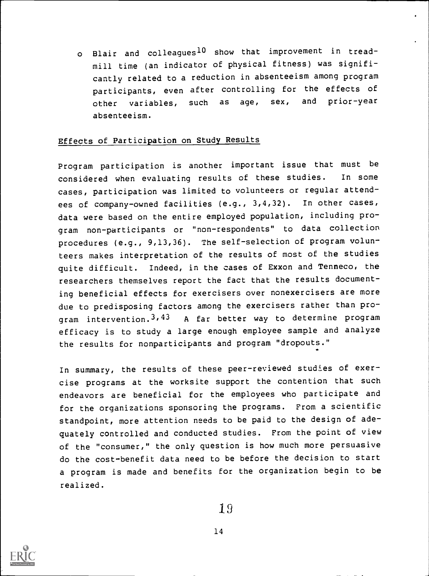o Blair and colleagues<sup>10</sup> show that improvement in treadmill time (an indicator of physical fitness) was significantly related to a reduction in absenteeism among program participants, even after controlling for the effects of other variables, such as age, sex, and prior-year absenteeism.

#### Effects of Participation on Study Results

Program participation is another important issue that must be considered when evaluating results of these studies. In some cases, participation was limited to volunteers or regular attendees of company-owned facilities (e.g., 3,4,32). In other cases, data were based on the entire employed population, including program non-participants or "non-respondents" to data collection procedures (e.g., 9,13,36). The self-selection of program volunteers makes interpretation of the results of most of the studies quite difficult. Indeed, in the cases of Exxon and Tenneco, the researchers themselves report the fact that the results documenting beneficial effects for exercisers over nonexercisers are more due to predisposing factors among the exercisers rather than program intervention.3,43 A far better way to determine program efficacy is to study a large enough employee sample and analyze the results for nonparticipants and program "dropouts."

In summary, the results of these peer-reviewed studies of exercise programs at the worksite support the contention that such endeavors are beneficial for the employees who participate and for the organizations sponsoring the programs. From a scientific standpoint, more attention needs to be paid to the design of adequately controlled and conducted studies. From the point of view of the "consumer," the only question is how much more persuasive do the cost-benefit data need to be before the decision to start a program is made and benefits for the organization begin to be realized.

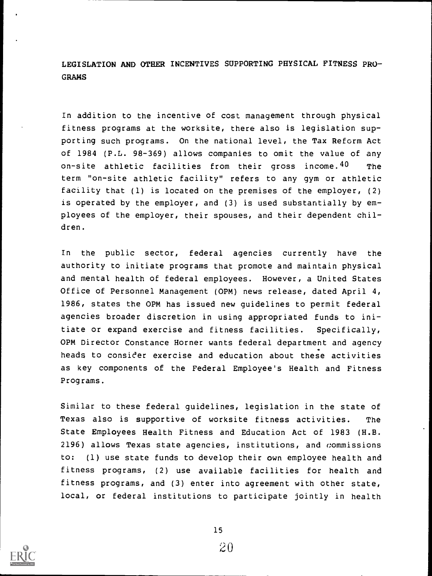LEGISLATION AND OTHER INCENTIVES SUPPORTING PHYSICAL FITNESS PRO-GRAMS

In addition to the incentive of cost management through physical fitness programs at the worksite, there also is legislation supporting such programs. On the national level, the Tax Reform Act of 1984 (P.L. 98-369) allows companies to omit the value of any on-site athletic facilities from their gross income.<sup>40</sup> The term "on-site athletic facility" refers to any gym or athletic facility that (1) is located on the premises of the employer, (2) is operated by the employer, and (3) is used substantially by employees of the employer, their spouses, and their dependent children.

In the public sector, federal agencies currently have the authority to initiate programs that promote and maintain physical and mental health of federal employees. However, a United States Office of Personnel Management (OPM) news release, dated April 4, 1986, states the OPM has issued new guidelines to permit federal agencies broader discretion in using appropriated funds to initiate or expand exercise and fitness facilities. Specifically, OPM Director Constance Horner wants federal department and agency . heads to consider exercise and education about these activities as key components of the Federal Employee's Health and Fitness Programs.

Similar to these federal guidelines, legislation in the state of Texas also is supportive of worksite fitness activities. The State Employees Health Fitness and Education Act of 1983 (H.B. 2196) allows Texas state agencies, institutions, and commissions to: (1) use state funds to develop their own employee health and fitness programs, (2) use available facilities for health and fitness programs, and (3) enter into agreement with other state, local, or federal institutions to participate jointly in health

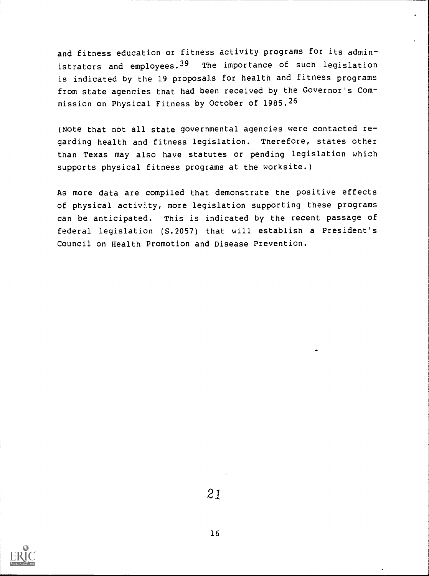and fitness education or fitness activity programs for its administrators and employees.<sup>39</sup> The importance of such legislation is indicated by the 19 proposals for health and fitness programs from state agencies that had been received by the Governor's Commission on Physical Fitness by October of 1985.26

(Note that not all state governmental agencies were contacted regarding health and fitness legislation. Therefore, states other than Texas may also have statutes or pending legislation which supports physical fitness programs at the worksite.)

As more data are compiled that demonstrate the positive effects of physical activity, more legislation supporting these programs can be anticipated. This is indicated by the recent passage of federal legislation (S.2057) that will establish a President's Council on Health Promotion and Disease Prevention.



2.1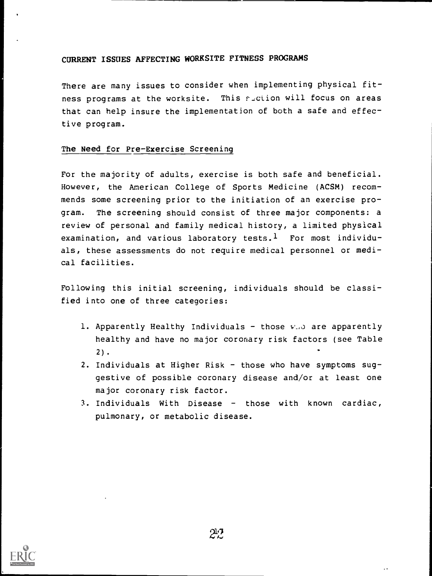### CURRENT ISSUES AFFECTING WORKSITE FITNESS PROGRAMS

There are many issues to consider when implementing physical fitness programs at the worksite. This suction will focus on areas that can help insure the implementation of both a safe and effective program.

#### The Need for Pre-Exercise Screening

For the majority of adults, exercise is both safe and beneficial. However, the American College of Sports Medicine (ACSM) recommends some screening prior to the initiation of an exercise program. The screening should consist of three major components: a review of personal and family medical history, a limited physical examination, and various laboratory tests.<sup>1</sup> For most individuals, these assessments do not require medical personnel or medical facilities.

Following this initial screening, individuals should be classified into one of three categories:

- 1. Apparently Healthy Individuals those  $v_{\alpha}$  are apparently healthy and have no major coronary risk factors (see Table 2).
- 2. Individuals at Higher Risk those who have symptoms suggestive of possible coronary disease and/or at least one major coronary risk factor.
- 3. Individuals With Disease  $-$  those with known cardiac, pulmonary, or metabolic disease.

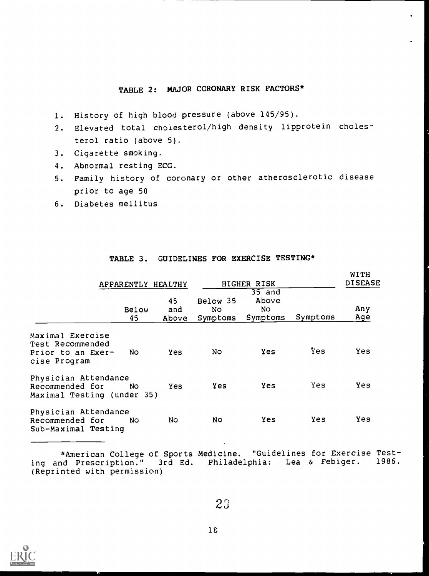# TABLE 2: MAJOR CORONARY RISK FACTORS\*

- 1. History of high blood pressure (above 145/95).
- 2. Elevated total cholesterol/high density lipprotein cholesterol ratio (above 5).
- 3. Cigarette smoking.
- 4. Abnormal resting ECG.
- 5. Family history of coronary or other atherosclerotic disease prior to age 50
- 6. Diabetes mellitus

|                                                                           | APPARENTLY HEALTHY |                    |                 | HIGHER RISK                                   | WITH<br><b>DISEASE</b> |            |  |
|---------------------------------------------------------------------------|--------------------|--------------------|-----------------|-----------------------------------------------|------------------------|------------|--|
|                                                                           | Below<br>45        | 45<br>and<br>Above | Below 35<br>No. | $35$ and<br>Above<br>No.<br>Symptoms Symptoms | Symptoms               | Any<br>Age |  |
| Maximal Exercise<br>Test Recommended<br>Prior to an Exer-<br>cise Program | No.                | <b>Yes</b>         | N0.             | <b>Yes</b>                                    | Yes                    | <b>Yes</b> |  |
| Physician Attendance<br>Recommended for<br>Maximal Testing (under 35)     | No.                | <b>Yes</b>         | <b>Yes</b>      | <b>Yes</b>                                    | Yes                    | <b>Yes</b> |  |
| Physician Attendance<br>Recommended for<br>Sub-Maximal Testing            | No.                | No.                | NO.             | <b>Yes</b>                                    | <b>Yes</b>             | Yes        |  |

#### TABLE 3. GUIDELINES FOR EXERCISE TESTING\*

\*American College of Sports Medicine. "Guidelines for Exercise Test-<br>nd Prescription." 3rd Ed. Philadelphia: Lea & Febiger. 1986. ing and Prescription." 3rd Ed. Philadelphia: Lea & Febiger. (Reprinted with permission)



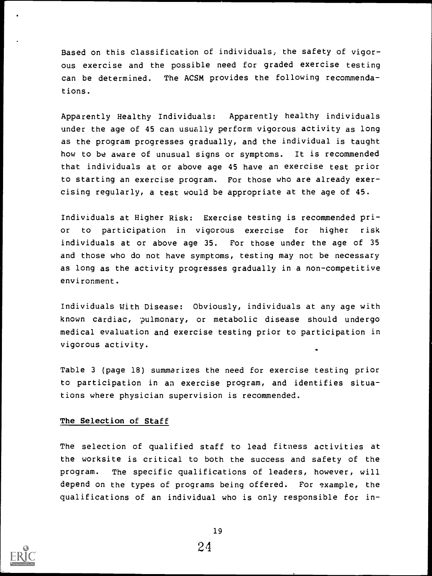Based on this classification of individuals, the safety of vigorous exercise and the possible need for graded exercise testing can be determined. The ACSM provides the following recommendations.

Apparently Healthy Individuals: Apparently healthy individuals under the age of 45 can usually perform vigorous activity as long as the program progresses gradually, and the individual is taught how to be aware of unusual signs or symptoms. It is recommended that individuals at or above age 45 have an exercise test prior to starting an exercise program. For those who are already exercising regularly, a test would be appropriate at the age of 45.

Individuals at Higher Risk: Exercise testing is recommended prior to participation in vigorous exercise for higher risk individuals at or above age 35. For those under the age of 35 and those who do not have symptoms, testing may not be necessary as long as the activity progresses gradually in a non-competitive environment.

Individuals With Disease: Obviously, individuals at any age with known cardiac, pulmonary, or metabolic disease should undergo medical evaluation and exercise testing prior to participation in vigorous activity. .

Table 3 (page 18) summarizes the need for exercise testing prior to participation in an exercise program, and identifies situations where physician supervision is recommended.

#### The Selection of Staff

The selection of qualified staff to lead fitness activities at the worksite is critical to both the success and safety of the program. The specific qualifications of leaders, however, will depend on the types of programs being offered. For example, the qualifications of an individual who is only responsible for in-

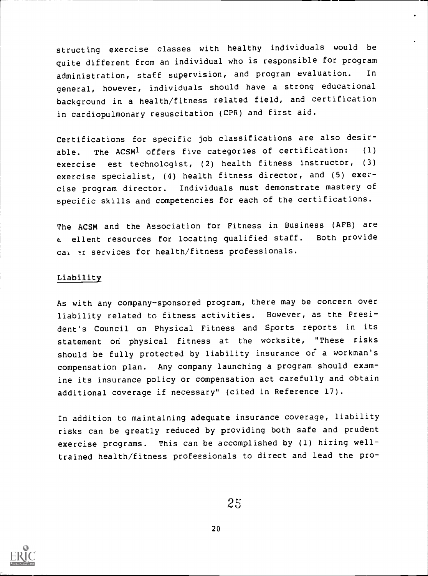structing exercise classes with healthy individuals would be quite different from an individual who is responsible for program administration, staff supervision, and program evaluation. In general, however, individuals should have a strong educational background in a health/fitness related field, and certification in cardiopulmonary resuscitation (CPR) and first aid.

Certifications for specific job classifications are also desirable. The ACSM<sup>1</sup> offers five categories of certification: (1) exercise est technologist, (2) health fitness instructor, (3) exercise specialist, (4) health fitness director, and (5) exercise program director. Individuals must demonstrate mastery of specific skills and competencies for each of the certifications.

The ACSM and the Association for Fitness in Business (AFB) are <sup>e</sup> ellent resources for locating qualified staff. Both provide cai ar services for health/fitness professionals.

#### Liability

As with any company-sponsored program, there may be concern over liability related to fitness activities. However, as the President's Council on Physical Fitness and Sports reports in its statement on physical fitness at the worksite, "These risks should be fully protected by liability insurance or' a workman's compensation plan. Any company launching a program should examine its insurance policy or compensation act carefully and obtain additional coverage if necessary" (cited in Reference 17).

In addition to maintaining adequate insurance coverage, liability risks can be greatly reduced by providing both safe and prudent exercise programs. This can be accomplished by (1) hiring welltrained health/fitness professionals to direct and lead the pro-

25

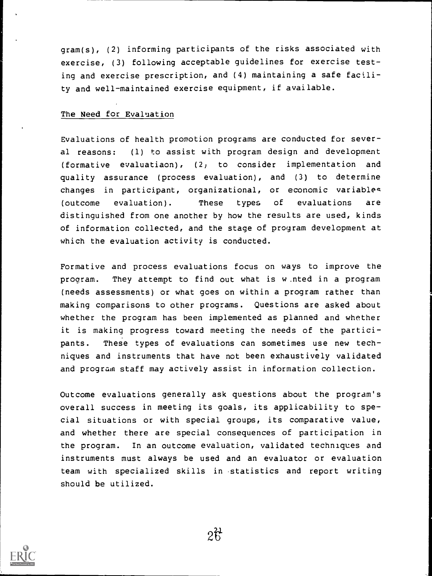gram(s), (2) informing participants of the risks associated with exercise, (3) following acceptable guidelines for exercise testing and exercise prescription, and (4) maintaining a safe facility and well-maintained exercise equipment, if available.

#### The Need for Evaluation

Evaluations of health promotion programs are conducted for several reasons: (1) to assist with program design and development (formative evaluatiaon), (2) to consider implementation and quality assurance (process evaluation), and (3) to determine changes in participant, organizational, or economic variables (outcome evaluation). These types of evaluations are distinguished from one another by how the results are used, kinds of information collected, and the stage of program development at which the evaluation activity is conducted.

Formative and process evaluations focus on ways to improve the program. They attempt to find out what is w.nted in a program (needs assessments) or what goes on within a program rather than making comparisons to other programs. Questions are asked about whether the program has been implemented as planned and whether it is making progress toward meeting the needs of the participants. These types of evaluations can sometimes use new tech- . niques and instruments that have not been exhaustively validated and program staff may actively assist in information collection.

Outcome evaluations generally ask questions about the program's overall success in meeting its goals, its applicability to special situations or with special groups, its comparative value, and whether there are special consequences of participation in the program. In an outcome evaluation, validated techniques and instruments must always be used and an evaluator or evaluation team with specialized skills in statistics and report writing should be utilized.

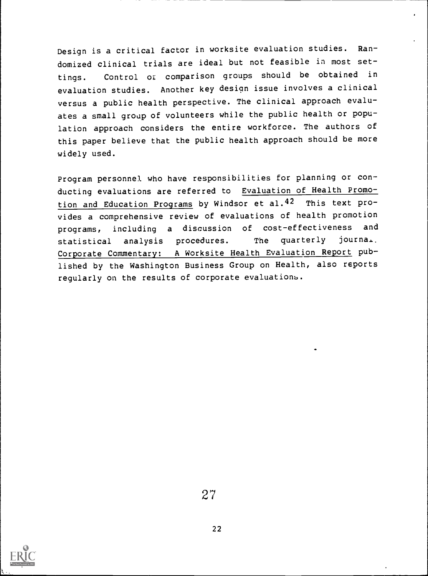Design is a critical factor in worksite evaluation studies. Randomized clinical trials are ideal but not feasible in most settings. Control or comparison groups should be obtained in evaluation studies. Another key design issue involves a clinical versus a public health perspective. The clinical approach evaluates a small group of volunteers while the public health or population approach considers the entire workforce. The authors of this paper believe that the public health approach should be more widely used.

Program personnel who have responsibilities for planning or conducting evaluations are referred to Evaluation of Health Promotion and Education Programs by Windsor et al.42 This text provides a comprehensive review of evaluations of health promotion programs, including <sup>a</sup> discussion of cost-effectiveness and statistical analysis procedures. The quarterly journal. Corporate Commentary: A Worksite Health Evaluation Report published by the Washington Business Group on Health, also reports regularly on the results of corporate evaluations.

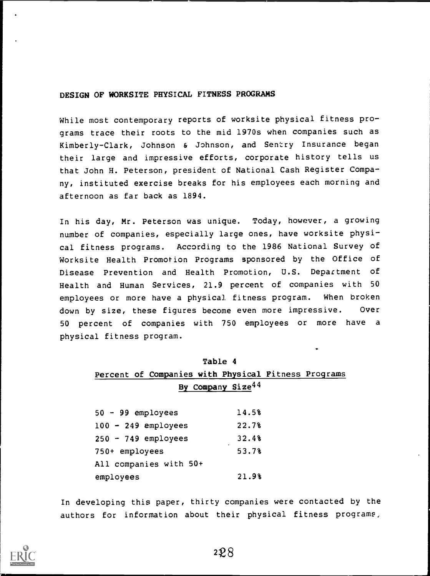#### DESIGN OF WORKSITE PHYSICAL FITNESS PROGRAMS

While most contemporary reports of worksite physical fitness programs trace their roots to the mid 1970s when companies such as Kimberly-Clark, Johnson & Johnson, and Sentry Insurance began their large and impressive efforts, corporate history tells us that John H. Peterson, president of National Cash Register Company, instituted exercise breaks for his employees each morning and afternoon as far back as 1894.

In his day, Mr. Peterson was unique. Today, however, a growing number of companies, especially large ones, have worksite physical fitness programs. According to the 1986 National Survey of Worksite Health Promotion Programs sponsored by the Office of Disease Prevention and Health Promotion, U.S. Department of Health and Human Services, 21.9 percent of companies with 50 employees or more have a physical fitness program. When broken down by size, these figures become even more impressive. Over 50 percent of companies with 750 employees or more have <sup>a</sup> physical fitness program.

| Table 4                                             |                  |  |  |  |  |  |  |  |
|-----------------------------------------------------|------------------|--|--|--|--|--|--|--|
| Percent of Companies with Physical Fitness Programs |                  |  |  |  |  |  |  |  |
| By Company Size <sup>44</sup>                       |                  |  |  |  |  |  |  |  |
| $50 - 99$ employees                                 | 14.5%            |  |  |  |  |  |  |  |
| $100 - 249$ employees                               | 22.7%            |  |  |  |  |  |  |  |
| $250 - 749$ employees                               | 32.48            |  |  |  |  |  |  |  |
| 750+ employees                                      | $\cdot$<br>53.7% |  |  |  |  |  |  |  |
| All companies with 50+                              |                  |  |  |  |  |  |  |  |
| employees                                           | 21.9%            |  |  |  |  |  |  |  |

In developing this paper, thirty companies were contacted by the authors for information about their physical fitness programs,

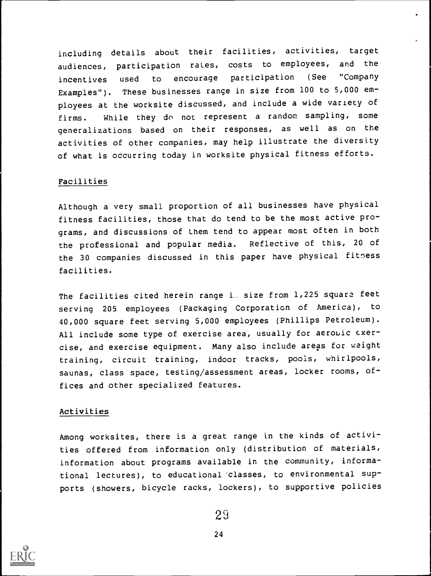including details about their facilities, activities, target audiences, participation rates, costs to employees, and the incentives used to encourage participation (See "Company Examples"). These businesses range in size from 100 to 5,000 employees at the worksite discussed, and include a wide variety of firms. While they do not represent a random sampling, some generalizations based on their responses, as well as on the activities of other companies, may help illustrate the diversity of what is occurring today in worksite physical fitness efforts.

#### Facilities

Although a very small proportion of all businesses have physical fitness facilities, those that do tend to be the most active programs, and discussions of them tend to appear most often in both the professional and popular media. Reflective of this, 20 of the 30 companies discussed in this paper have physical fitness facilities.

The facilities cited herein range i. size from 1,225 square feet serving 205 employees (Packaging Corporation of America), to 40,000 square feet serving 5,000 employees (Phillips Petroleum). All include some type of exercise area, usually for aerobic  $exer$ cise, and exercise equipment. Many also include areas for weight training, circuit training, indoor tracks, pools, whirlpools, saunas, class space, testing/assessment areas, locker rooms, offices and other specialized features.

#### Activities

Among worksites, there is a great range in the kinds of activities offered from information only (distribution of materials, information about programs available in the community, informational lectures), to educational classes, to environmental supports (showers, bicycle racks, lockers), to supportive policies

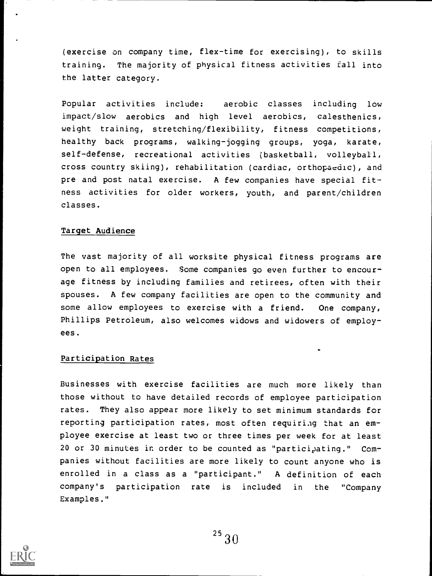(exercise on company time, flex-time for exercising), to skills training. The majority of physical fitness activities fall into the latter category.

Popular activities include: aerobic classes including low impact/slow aerobics and high level aerobics, calesthenics, weight training, stretching/flexibility, fitness competitions, healthy back programs, walking-jogging groups, yoga, karate, self-defense, recreational activities (basketball, volleyball, cross country skiing), rehabilitation (cardiac, orthopaedic), and pre and post natal exercise. A few companies have special fitness activities for older workers, youth, and parent/children classes.

# Target Audience

The vast majority of all worksite physical fitness programs are open to all employees. Some companies go even further to encourage fitness by including families and retirees, often with their spouses. A few company facilities are open to the community and some allow employees to exercise with a friend. One company, Phillips Petroleum, also welcomes widows and widowers of employees.

#### Participation Rates

Businesses with exercise facilities are much more likely than those without to have detailed records of employee participation rates. They also appear more likely to set minimum standards for reporting participation rates, most often requiring that an employee exercise at least two or three times per week for at least 20 or 30 minutes in order to be counted as "participating." Companies without facilities are more likely to count anyone who is enrolled in a class as a "participant." A definition of each company's participation rate is included in the "Company Examples."

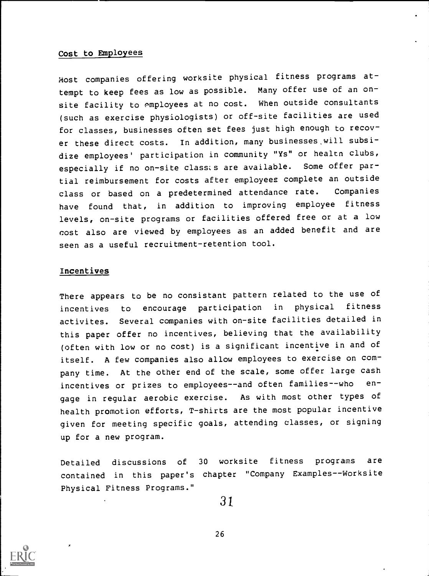#### Cost to Employees

Most companies offering worksite physical fitness programs attempt to keep fees as low as possible. Many offer use of an onsite facility to employees at no cost. When outside consultants (such as exercise physiologists) or off-site facilities are used for classes, businesses often set fees just high enough to recover these direct costs. In addition, many businesses will subsidize employees' participation in community "Ys" or health clubs, especially if no on-site classes are available. Some offer partial reimbursement for costs after employees complete an outside class or based on a predetermined attendance rate. Companies have found that, in addition to improving employee fitness levels, on-site programs or facilities offered free or at a low cost also are viewed by employees as an added benefit and are seen as a useful recruitment-retention tool.

#### Incentives

There appears to be no consistant pattern related to the use of incentives to encourage participation in physical fitness activites. Several companies with on-site facilities detailed in this paper offer no incentives, believing that the availability (often with low or no cost) is a significant incentive in and of itself. A few companies also allow employees to exercise on company time. At the other end of the scale, some offer large cash incentives or prizes to employees--and often families--who engage in regular aerobic exercise. As with most other types of health promotion efforts, T-shirts are the most popular incentive given for meeting specific goals, attending classes, or signing up for a new program.

Detailed discussions of <sup>30</sup> worksite fitness programs are contained in this paper's chapter "Company Examples--Worksite Physical Fitness Programs."

31

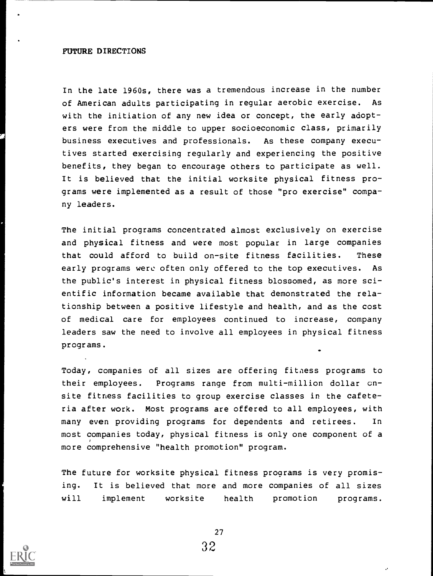#### FUTURE DIRECTIONS

In the late 1960s, there was a tremendous increase in the number of American adults participating in regular aerobic exercise. As with the initiation of any new idea or concept, the early adopters were from the middle to upper socioeconomic class, primarily business executives and professionals. As these company executives started exercising regularly and experiencing the positive benefits, they began to encourage others to participate as well. It is believed that the initial worksite physical fitness programs were implemented as a result of those "pro exercise" company leaders.

The initial programs concentrated almost exclusively on exercise and physical fitness and were most popular in large companies that could afford to build on-site fitness facilities. These early programs were often only offered to the top executives. As the public's interest in physical fitness blossomed, as more scientific information became available that demonstrated the relationship between a positive lifestyle and health, and as the cost of medical care for employees continued to increase, company leaders saw the need to involve all employees in physical fitness programs.

Today, companies of all sizes are offering fitness programs to their employees. Programs range from multi-million dollar cnsite fitness facilities to group exercise classes in the cafeteria after work. Most programs are offered to all employees, with many even providing programs for dependents and retirees. In most companies today, physical fitness is only one component of a more comprehensive "health promotion" program.

The future for worksite physical fitness programs is very promising. It is believed that more and more companies of all sizes will implement worksite health promotion programs.

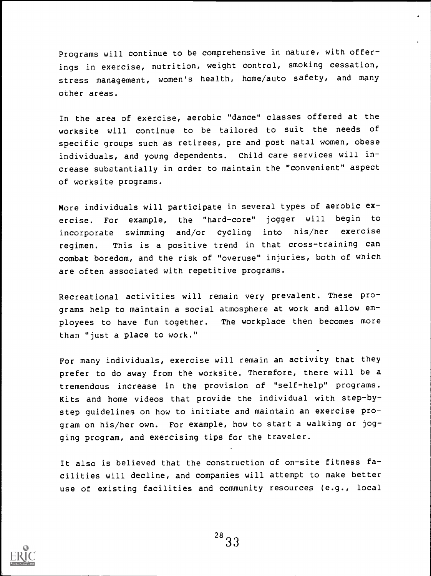Programs will continue to be comprehensive in nature, with offerings in exercise, nutrition, weight control, smoking cessation, stress management, women's health, home/auto safety, and many other areas.

In the area of exercise, aerobic "dance" classes offered at the worksite will continue to be tailored to suit the needs of specific groups such as retirees, pre and post natal women, obese individuals, and young dependents. Child care services will increase substantially in order to maintain the "convenient" aspect of worksite programs.

More individuals will participate in several types of aerobic exercise. For example, the "hard-core" jogger will begin to incorporate swimming and/or cycling into his/her exercise regimen. This is a positive trend in that cross-training can combat boredom, and the risk of "overuse" injuries, both of which are often associated with repetitive programs.

Recreational activities will remain very prevalent. These programs help to maintain a social atmosphere at work and allow employees to have fun together. The workplace then becomes more than "just a place to work."

For many individuals, exercise will remain an activity that they prefer to do away from the worksite. Therefore, there will be a tremendous increase in the provision of "self-help" programs. Kits and home videos that provide the individual with step-bystep guidelines on how to initiate and maintain an exercise program on his/her own. For example, how to start a walking or jogging program, and exercising tips for the traveler.

It also is believed that the construction of on-site fitness facilities will decline, and companies will attempt to make better use of existing facilities and community resources (e.g., local

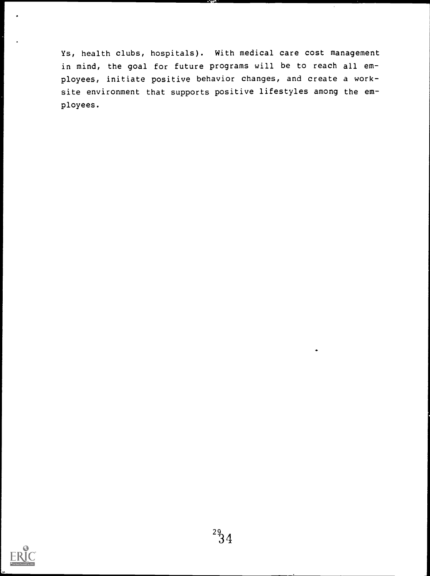Ys, health clubs, hospitals). With medical care cost management in mind, the goal for future programs will be to reach all employees, initiate positive behavior changes, and create a worksite environment that supports positive lifestyles among the employees.

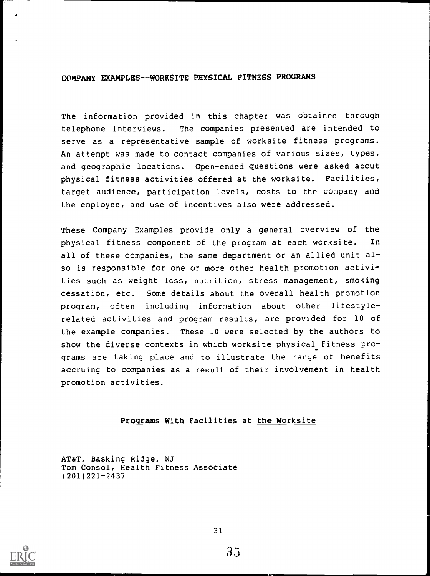## COMPANY EXAMPLES--WORKSITE PHYSICAL FITNESS PROGRAMS

The information provided in this chapter was obtained through telephone interviews. The companies presented are intended to serve as a representative sample of worksite fitness programs. An attempt was made to contact companies of various sizes, types, and geographic locations. Open-ended questions were asked about physical fitness activities offered at the worksite. Facilities, target audience, participation levels, costs to the company and the employee, and use of incentives also were addressed.

These Company Examples provide only a general overview of the physical fitness component of the program at each worksite. In all of these companies, the same department or an allied unit also is responsible for one or more other health promotion activities such as weight loss, nutrition, stress management, smoking cessation, etc. Some details about the overall health promotion program, often including information about other lifestylerelated activities and program results, are provided for 10 of the example companies. These 10 were selected by the authors to show the diverse contexts in which worksite physical fitness programs are taking place and to illustrate the range of benefits accruing to companies as a result of their involvement in health promotion activities.

#### Programs With Facilities at the Worksite

AT&T, Basking Ridge, NJ Tom Consol, Health Fitness Associate (201)221-2437

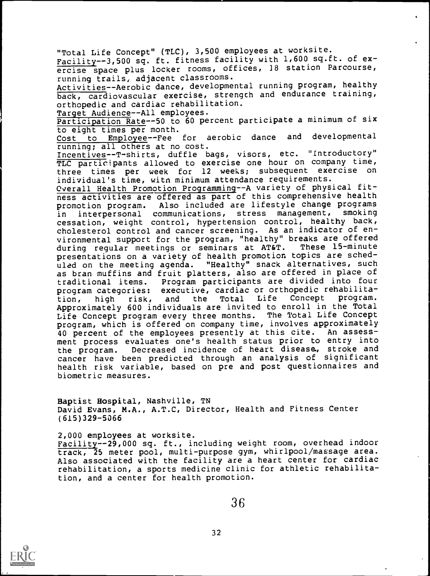"Total Life Concept" (TLC), 3,500 employees at worksite. Facility--3,500 sq. ft. fitness facility with 1,600 sq.ft. of exercise space plus locker rooms, offices, 18 station Parcourse, running trails, adjacent classrooms. Activities--Aerobic dance, developmental running program, healthy back, cardiovascular exercise, strength and endurance training, orthopedic and cardiac rehabilitation.<br>Target Audience--All employees. Target Audience--All employees. Participation Rate--50 to 60 percent participate a minimum of six to eight times per month.<br>Cost to Employee--Fee to Employee--Fee for aerobic dance and developmental running; all others at no cost. Incentives--T-shirts, duffle bags, visors, etc. "Introductory" TLC participants allowed to exercise one hour on company time, three times per week for 12 weeks; subsequent exercise on individual's time, witn minimum attendance requirements. Overall Health Promotion Programming--A variety of physical fitness activities are offered as part of this comprehensive health promotion program. Also included are lifestyle change programs<br>in interpersonal communications, stress management, smoking in interpersonal communications, stress management, cessation, weight control, hypertension control, healthy back, cholesterol control and cancer screening. As an indicator of environmental support for the program, "healthy" breaks are offered<br>during regular meetings or seminars at AT&T. These 15-minute during regular meetings or seminars at AT&T. presentations on a variety of health promotion topics are scheduled on the meeting agenda. "Healthy" snack alternatives, such as bran muffins and fruit platters, also are offered in place of traditional items. Program participants are divided into four program categories: executive, cardiac or orthopedic rehabilita-<br>tion, high risk, and the Total Life Concept program. tion, high risk, and the Total Life Concept Approximately 600 individuals are invited to enroll in the Total Life Concept program every three months. The Total Life Concept program, which is offered on company time, involves approximately 40 percent of the employees presently at this cite. An assessment process evaluates one's health status prior to entry into the program. Decreased incidence of heart disease, stroke and cancer have been predicted through an analysis of significant health risk variable, based on pre and post questionnaires and biometric measures.

Baptist Hospital, Nashville, TN David Evans, M.A., A.T.C, Director, Health and Fitness Center (615)329-5066

2,000 employees at worksite. Facility-29,000 sq. ft., including weight room, overhead indoor track, 25 meter pool, multi-purpose gym, whirlpool/massage area. Also associated with the facility are a heart center for cardiac rehabilitation, a sports medicine clinic for athletic rehabilitation, and a center for health promotion.



36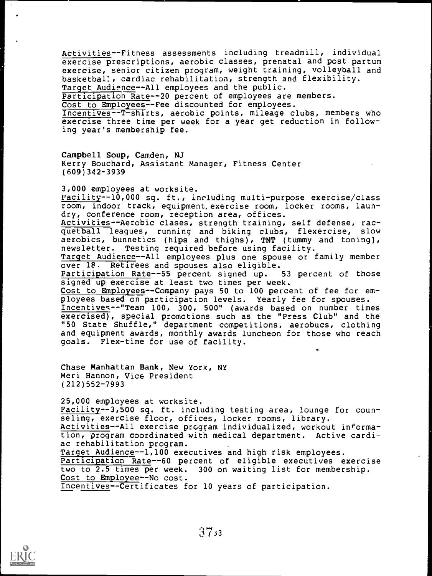Activities--Fitness assessments including treadmill, individual exercise prescriptions, aerobic classes, prenatal and post partum exercise, senior citizen program, weight training, volleyball and basketbal:, cardiac rehabilitation, strength and flexibility. Target Audience--All employees and the public. Participation Rate--20 percent of employees are members. Cost to Employees--Fee discounted for employees. Incentives--T-shirts, aerobic points, mileage clubs, members who exercise three time per week for a year get reduction in following year's membership fee.

Campbell Soup, Camden, NJ Kerry Bouchard, Assistant Manager, Fitness Center (609)342-3939

3,000 employees at worksite. Facility--10,000 sq. ft., including multi-purpose exercise/class room, indoor track, equipment, exercise room, locker rooms, laundry, conference room, reception area, offices. Activities--Aerobic clases, strength training, self defense, racquetball leagues, running and biking clubs, flexercise, slow aerobics, bunnetics (hips and thighs), TNT (tummy and toning), newsletter. Testing required before using facility. Target Audience--All employees plus one spouse or family member over 18. Retirees and spouses also eligible.<br>Participation Rate--55 percent signed up. 53 percent of those Participation Rate--55 percent signed up. signed up exercise at least two times per week. Cost to Employees--Company pays 50 to 100 percent of fee for employees based on participation levels. Yearly fee for spouses. Incentives--"Team 100, 300, 500" (awards based on number times exercised), special promotions such as the "Press Club" and the "50 State Shuffle," department competitions, aerobucs, clothing and equipment awards, monthly awards luncheon for those who reach goals. Flex-time for use of facility.

Chase Manhattan Bank, New York, NY Meri Hannon, Vice President (212)552-7993

25,000 employees at worksite. Facility--3,500 sq. ft. including testing area, lounge for counseling, exercise floor, offices, locker rooms, library. Activities--All exercise program individualized, workout information, program coordinated with medical department. Active cardiac rehabilitation program. Target Audience--1,100 executives and high risk employees. Participation Rate--60 percent of eligible executives exercise two to 2.5 times per week. 300 on waiting list for membership. Cost to Employee--No cost.

Incentives--Certificates for 10 years of participation.

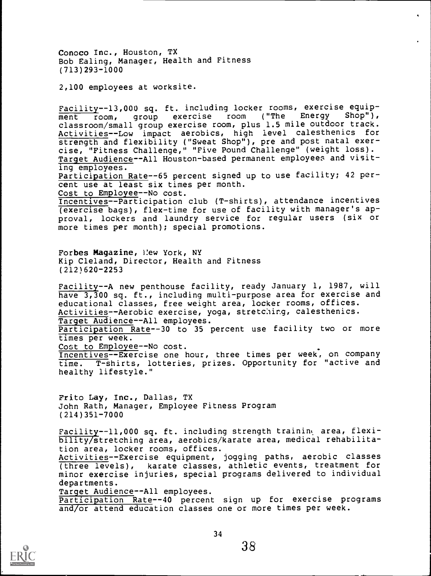Conoco Inc., Houston, TX Bob Ealing, Manager, Health and Fitness (713)293-1000

2,100 employees at worksite.

Facility--13,000 sq. ft. including locker rooms, exercise equipment room, group exercise room ("The Energy Shop"), classroom/small group exercise room, plus 1.5 mile outdoor track. Activities--Low impact aerobics, high level calesthenics for strength and flexibility ("Sweat Shop"), pre and post natal exercise, "Fitness Challenge," "Five Pound Challenge" (weight loss). Target Audience--All Houston-based permanent employees and visiting employees. Participation Rate--65 percent signed up to use facility; 42 percent use at least six times per month. Cost to Employee--No cost. Incentives--Participation club (T-shirts), attendance incentives (exercise bags), flex-time for use of facility with manager's approval, lockers and laundry service for regular users (six or more times per month); special promotions. Forbes Magazine, Hew York, NY Kip Cleland, Director, Health and Fitness (212)620-2253 Facility--A new penthouse facility, ready January 1, 1987, will have 3,300 sq. ft., including multi-purpose area for exercise and educational classes, free weight area, locker rooms, offices. Activities--Aerobic exercise, yoga, stretching, calesthenics. Target Audience--All employees. Participation Rate--30 to 35 percent use facility two or more times per week. Cost to Employee--No cost.

Incentives--Exercise one hour, three times per week, on company time. T-shirts, lotteries, prizes. Opportunity for "active and healthy lifestyle."

Frito Lay, Inc., Dallas, TX John Rath, Manager, Employee Fitness Program (214)351-7000

Facility--11,000 sq. ft. including strength training area, flexibility/stretching area, aerobics/karate area, medical rehabilitation area, locker rooms, offices.

Activities--Exercise equipment, jogging paths, aerobic classes (three levels), karate classes, athletic events, treatment for minor exercise injuries, special programs delivered to individual departments.

Target Audience--All employees.

Participation Rate--40 percent sign up for exercise programs and/or attend education classes one or more times per week.

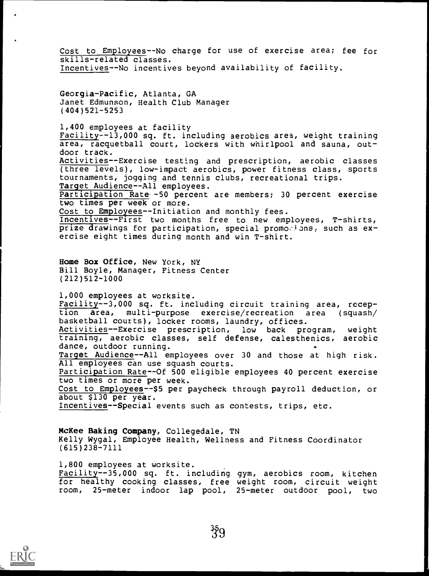Cost to Employees--No charge for use of exercise area; fee for skills-related classes. Incentives--No incentives beyond availability of facility.

Georgia-Pacific, Atlanta, GA Janet Edmunson, Health Club Manager (404)521-5253

1,400 employees at facility Facility--13,000 sq. ft. including aerobics area, weight training area, racquetball court, lockers with whirlpool and sauna, outdoor track. Activities--Exercise testing and prescription, aerobic classes (three levels), low-impact aerobics, power fitness class, sports tournaments, jogging and tennis clubs, recreational trips. Target Audience--All employees. Participation Rate -50 percent are members; 30 percent exercise two times per week or more. Cost to Employees--Initiation and monthly fees. Incentives--First two months free to new employees, T-shirts, prize drawings for participation, special promocions, such as exercise eight times during month and win T-shirt. Home Box Office, New York, NY Bill Boyle, Manager, Fitness Center (212)512-1000 1,000 employees at worksite. Facility--3,000 sq. ft. including circuit training area, reception area, multi-purpose exercise/recreation area (squash/ basketball courts), locker rooms, laundry, offices. Activities--Exercise prescription, low back program, weight training, aerobic classes, self defense, calesthenics, aerobic dance, outdoor running. Target Audience--All employees over 30 and those at high risk. All employees can use squash courts. Participation Rate--Of 500 eligible employees 40 percent exercise two times or more per week. Cost to Employees--\$5 per paycheck through payroll deduction, or about \$130 per year. Incentives--Special events such as contests, trips, etc.

McKee Baking Company, Collegedale, TN Kelly Wygal, Employee Health, Wellness and Fitness Coordinator (615)238-7111

1,800 employees at worksite. Facility--35,000 sq. ft. including gym, aerobics room, kitchen for healthy cooking classes, free weight room, circuit weight room, 25-meter indoor lap pool, 25-meter outdoor pool, two

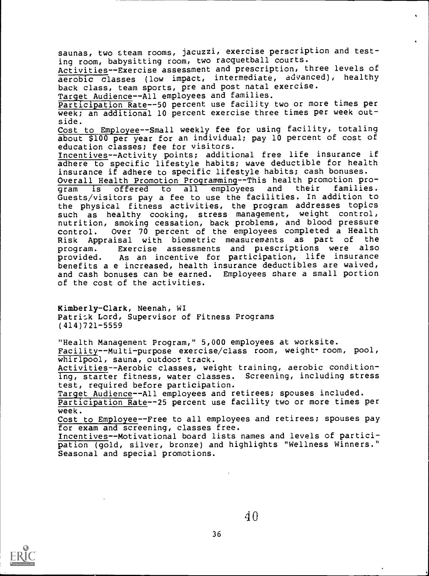saunas, two steam rooms, jacuzzi, exercise perscription and testing room, babysitting room, two racquetball courts. Activities--Exercise assessment and prescription, three levels of aerobic classes (low impact, intermediate, advanced), healthy back class, team sports, pre and post natal exercise. Target Audience--All employees and families. Participation Rate--50 percent use facility two or more times per week; an additional 10 percent exercise three times per week outside. Cost to Employee--Small weekly fee for using facility, totaling about \$100 per year for an individual; pay 10 percent of cost of education classes; fee for visitors. Incentives--Activity points; additional free life insurance if adhere to specific lifestyle habits; wave deductible for health insurance if adhere to specific lifestyle habits; cash bonuses. Overall Health Promotion Programming--This health promotion pro-<br>gram is offered to all employees and their families. gram is offered to all employees and their families. Guests/visitors pay a fee to use the facilities. In addition to the physical fitness activities, the program addresses topics such as healthy cooking, stress management, weight control, nutrition, smoking cessation, back problems, and blood pressure control. Over 70 percent of the employees completed a Health Risk Appraisal with biometric measurements as part of the<br>program, Exercise assessments and prescriptions were also program. Exercise assessments and prescriptions were provided. As an incentive for participation, life insurance benefits a e increased, health insurance deductibles are waived, and cash bonuses can be earned. Employees share a small portion of the cost of the activities.

Kimberly-Clark, Neenah, WI Patrick Lord, Supervisor of Fitness Programs (414)721-5559

"Health Management Program," 5,000 employees at worksite.

Facility--Multi-purpose exercise/class room, weight\* room, pool, whirlpool, sauna, outdoor track.

Activities--Aerobic classes, weight training, aerobic conditioning, starter fitness, water classes. Screening, including stress test, required before participation.

Target Audience--All employees and retirees; spouses included. Participation Rate--25 percent use facility two or more times per week.

Cost to Employee--Free to all employees and retirees; spouses pay for exam and screening, classes free.

Incentives--Motivational board lists names and levels of participation (gold, silver, bronze) and highlights "Wellness Winners." Seasonal and special promotions.

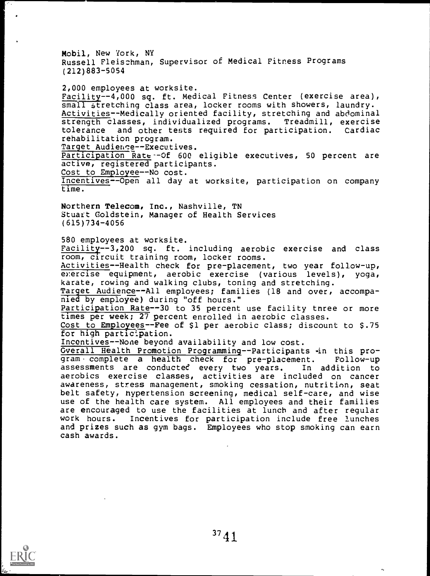Mobil, New York, NY Russell Fleiszhman, Supervisor of Medical Fitness Programs (212)883-5054

2,000 employees at worksite. Facility--4,000 sq. ft. Medical Fitness Center (exercise area), small stretching class area, locker rooms with showers, laundry. Activities--Medically oriented facility, stretching and abdominal strength classes, individualized programs. Treadmill, exercise tolerance and other tests required for participation. Cardiac rehabilitation program. Target Audience--Executives. Participation Rate--Of 600 eligible executives, 50 percent are

active, registered participants. Cost to Employee--No cost.

Incentives--Open all day at worksite, participation on company time.

Northern Telecom, Inc., Nashville, TN Stuazt Goldstein, Manager of Health Services (615)734-4056

580 employees at worksite.

Facility--3,200 sq. ft. including aerobic exercise and class room, circuit training room, locker rooms.

Activities--Health check for pre-placement, two year follow-up, exercise equipment, aerobic exercise (various levels), yoga, karate, rowing and walking clubs, toning and stretching.

Target Audience--All employees; families (18 and over, accompanied by employee) during "off hours."

Participation Rate--30 to 35 percent use facility tnree or more times per week; 27 percent enrolled in aerobic classes.

Cost to Employees--Fee of \$1 per aerobic class; discount to \$.75 for high participation.

Incentives--None beyond availability and low cost.

Overall Health Promotion Programming--Participants in this program complete a health check for pre-placement. Follow-up assessments are conducted every two years. In addition to aerobics exercise classes, activities are included on cancer awareness, stress management, smoking cessation, nutrition, seat belt safety, hypertension screening, medical self-care, and wise use of the health care system. All employees and their families are encouraged to use the facilities at lunch and after regular work hours. Incentives for participation include free lunches and prizes such as gym bags. Employees who stop smoking can earn cash awards.



ä,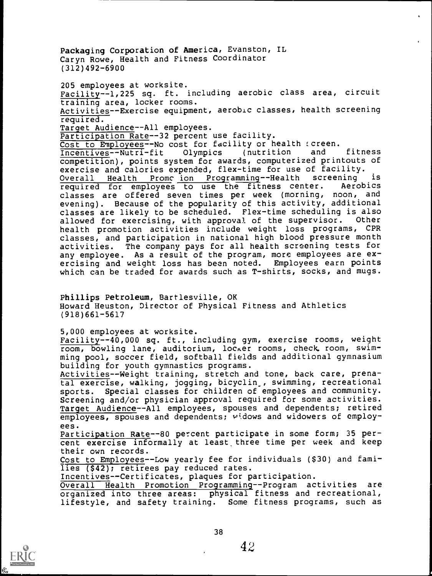Packaging Corporation of America, Evanston, IL Caryn Rowe, Health and Fitness Coordinator (312)492-6900

205 employees at worksite. Facility--1,225 sq. ft. including aerobic class area, circuit training area, locker rooms. Activities--Exercise equipment, aerobic classes, health screening required. Target Audience--All employees. Participation Rate--32 percent use facility. Cost to Employees--No cost for facility or health screen.<br>Incentives--Nutri-fit Olympics (nutrition and fitness Incentives--Nutri-fit Olympics (nutrition and competition), points system for awards, computerized printouts of exercise and calories expended, flex-time for use of facility. Overall Health Promc ion Programming--Health screening is required for employees to use the fitness center. classes are offered seven times per week (morning, noon, and evening). Because of the popularity of this activity, additional classes are likely to be scheduled. Flex-time scheduling is also<br>allowed for exercising, with approval of the supervisor. Other allowed for exercising, with approval of the supervisor. health promotion activities include weight loss programs, CPR classes, and participation in national high blood pressure month activities. The company pays for all health screening tests for any employee. As a result of the program, more employees are exercising and weight loss has been noted. Employees earn points which can be traded for awards such as T-shirts, socks, and mugs.

Phillips Petroleum, Bartlesville, OK Howard Heuston, Director of Physical Fitness and Athletics (918)661-5617

5,000 employees at worksite.

Facility--40,000 sq. ft., including gym, exercise rooms, weight room, bowling lane, auditorium, locker rooms, check room, swimming pool, soccer field, softball fields and additional gymnasium building for youth gymnastics programs.

Activities--Weight training, stretch and tone, back care, prenatal exercise, walking, jogging, bicyclin\_, swimming, recreational sports. Special classes for children of employees and community. Screening and/or physician approval required for some activities. Target Audience--All employees, spouses and dependents; retired employees, spouses and dependents; widows and widowers of employees.

Participation Rate--80 percent participate in some form; 35 percent exercise informally at least, three time per week and keep their own records.

Cost to Employees--Low yearly fee for individuals (\$30) and families (\$42); retirees pay reduced rates.

Incentives--Certificates, plaques for participation.

Overall Health Promotion Programming--Program activities are organized into three areas: physical fitness and recreational, lifestyle, and safety training. Some fitness programs, such as

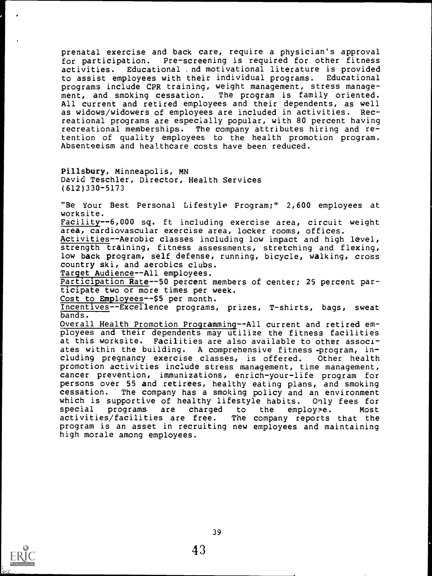prenatal exercise and back care, require a physician's approval for participation. Pre-screening is required for other fitness activities. Educational , nd motivational literature is provided<br>to assist emplovees with their individual programs. Educational to assist employees with their individual programs. programs include CPR training, weight management, stress management, and smoking cessation. The program is family oriented. All current and retired employees and their dependents, as well<br>as widows/widowers of employees are included in activities. Recas widows/widowers of employees are included in activities. reational programs are especially popular, with 80 percent having recreational memberships. The company attributes hiring and retention of quality employees to the health promotion program. Absenteeism and healthcare costs have been reduced.

Pillsbury, Minneapolis, MN David Teschler, Director, Health Services (612)330-5173

"Be Your Best Personal Lifestyle Program;" 2,600 employees at worksite.

Facility--6,000 sq. ft including exercise area, circuit weight area, cardiovascular exercise area, locker rooms, offices.

Activities--Aerobic classes including low impact and high level, strength training, fitness assessments, stretching and flexing, low back program, self defense, running, bicycle, walking, cross country ski, and aerobics clubs.

Target Audience--All employees.

Participation Rate--50 percent members of center; 25 percent participate two or more times per week.

Cost to Employees--\$5 per month.

Incentives--Excellence programs, prizes, T-shirts, bags, sweat bands.

Overall Health Promotion Programming--All current and retired employees and their dependents may utilize the fitness facilities at this worksite. Facilities are also available to other associates within the building. A comprehensive fitness -program, including pregnancy exercise classes, is offered. Other health promotion activities include stress management, time management, cancer prevention, immunizations, enrich-your-life program for persons over 55 and retirees, healthy eating plans, and smoking cessation. The company has a smoking policy and an environment which is supportive of healthy lifestyle habits. Only fees for<br>special programs are charged to the employee. Most programs are charged to the employee. Most<br>s/facilities are free. The company reports that the activities/facilities are free. program is an asset in recruiting new employees and maintaining high morale among employees.

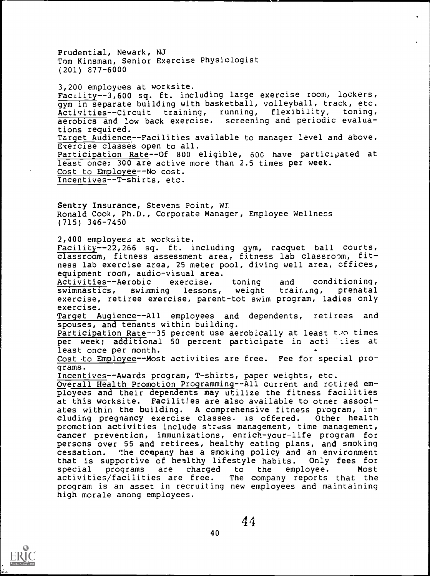Prudential, Newark, NJ Tom Kinsman, Senior Exercise Physiologist (201) 877-6000

3,200 employees at worksite. Facility--3,600 sq. ft. including large exercise room, lockers, gym in separate building with basketball, volleyball, track, etc.<br>Activities--Circuit training, running, flexibility, toning, Activities--Circuit training, aerobics and low back exercise. screening and periodic evaluations required. Target Audience--Facilities available to manager level and above. Exercise classes open to all. Participation Rate--Of 800 eligible, 600 have participated at least once; 300 are active more than 2.5 times per week. Cost to Employee--No cost. Incentives--T-shirts, etc.

Sentry Insurance, Stevens Point, WI Ronald Cook, Ph.D., Corporate Manager, Employee Wellness (715) 346-7450

2,400 employees at worksite.

Facility--22,266 sq. ft. including gym, racquet ball courts, classroom, fitness assessment area, fitness lab classroom, fitness lab exercise area, 25 meter pool, diving well area, cffices, equipment room, audio-visual area.

Activities--Aerobic exercise, toning and conditioning, swimnastics, swimming lessons, weight training, prenatal exercise, retiree exercise, parent-tot swim program, ladies only exercise.

Target Augience--All employees and dependents, retirees and spouses, and tenants within building.

Participation Rate--35 percent use aerobically at least two times per week; additional 50 percent participate in acti ties at least once per month.

Cost to Employee--Most activities are free. Fee for special programs.

Incentives--Awards program, T-shirts, paper weights, etc.

Overall Health Promotion Programming--All current and retired employees and their dependents may utilize the fitness facilities at this worksite. Facilities are also available to otner associates within the building. A comprehensive fitness program, including pregnancy exercise classes. is offered. Other health promotion activities include stress management, time management, cancer prevention, immunizations, enrich-your-life program for persons over 55 and retirees, healthy eating plans, and smoking cessation. The company has a smoking policy and an environment that is supportive of healthy lifestyle habits. Only fees for special programs are charged to the employee. activities/facilities are free. The company reports that the program is an asset in recruiting new employees and maintaining high morale among employees.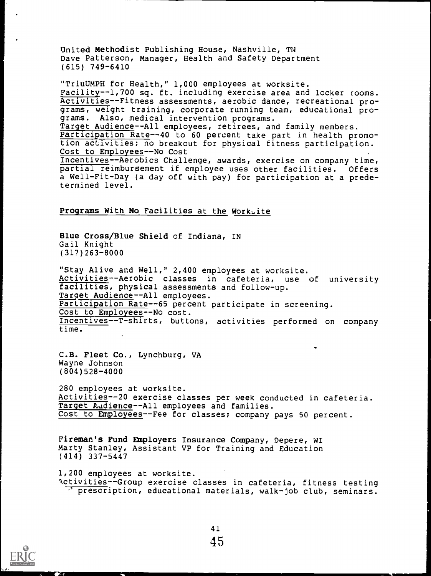United Methodist Publishing House, Nashville, TN Dave Patterson, Manager, Health and Safety Department (615) 749-6410

"TriuUMPH for Health," 1,000 employees at worksite. Facility--1,700 sq. ft. including exercise area and locker rooms. Activities--Fitness assessments, aerobic dance, recreational programs, weight training, corporate running team, educational programs. Also, medical intervention programs. Target Audience--All employees, retirees, and family members. Participation Rate--40 to 60 percent take part in health promotion activities; no breakout for physical fitness participation. Cost to Employees--No Cost Incentives--Aerobics Challenge, awards, exercise on company time, partial reimbursement if employee uses other facilities. Offers a Well-Fit-Day (a day off with pay) for participation at a predetermined level.

#### Programs With No Facilities at the WorkLite

Blue Cross/Blue Shield of Indiana, IN Gail Knight (317)263-8000

"Stay Alive and Well," 2,400 employees at worksite. Activities--Aerobic classes in cafeteria, use of university facilities, physical assessments and follow-up. Target Audience--All employees. Participation Rate--65 percent participate in screening. Cost to Employees--No cost. Incentives--T-shirts, buttons, activities performed on company time.

C.B. Fleet Co., Lynchburg, VA Wayne Johnson (804)528-4000

280 employees at worksite. Activities--20 exercise classes per week conducted in cafeteria. Target Audience--All employees and families. Cost to Employees--Fee for classes; company pays 50 percent.

Fireman's Fund Employers Insurance Company, Depere, WI Marty Stanley, Assistant VP for Training and Education (414) 337-5447

1,200 employees at worksite. Nctivities--Group exercise classes in cafeteria, fitness testing prescription, educational materials, walk-job club, seminars.



inilimmommor III Muslim and the control of the control of the control of the control of the control of the control of the control of the control of the control of the control of the control of the control of the control of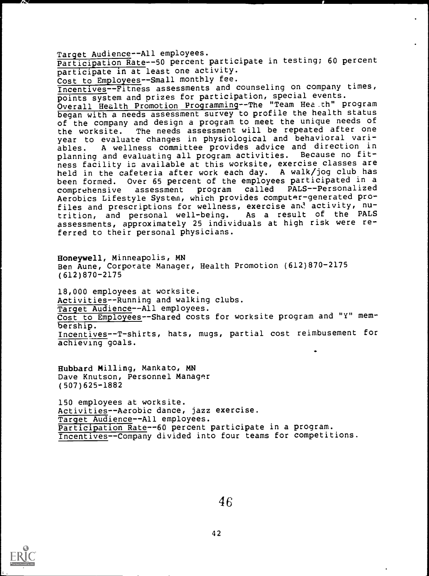Target Audience--All employees.

Participation Rate--50 percent participate in testing; 60 percent participate in at least one activity.

Cost to Employees--Small monthly fee.

Incentives--Fitness assessments and counseling on company times, points system and prizes for participation, special events.

Overall Health Promotion Programming--The "Team Hea.th" program began with a needs assessment survey to profile the health status of the company and design a program to meet the unique needs of the worksite. The needs assessment will be repeated after one year to evaluate changes in physiological and behavioral variables. A wellness committee provides advice and direction in planning and evaluating all program activities. Because no fitness facility is available at this worksite, exercise classes are held in the cafeteria after work each day. A walk/jog club has been formed. Over 65 percent of the employees participated in a comprehensive assessment program called PALS--Personalized comprehensive assessment program called PALS--Personalized Aerobics Lifestyle System, which provides computer-generated profiles and prescriptions for wellness, exercise and activity, nutrition, and personal well-being. As <sup>a</sup> result of the PALS assessments, approximately 25 individuals at high risk were referred to their personal physicians.

Honeywell, Minneapolis, MN Ben Aune, Corporate Manager, Health Promotion (612)870-2175 (612)870-2175

18,000 employees at worksite. Activities--Running and walking clubs. Target Audience--All employees. Cost to Employees--Shared costs for worksite program and "Y" membership. Incentives--T-shirts, hats, mugs, partial cost reimbusement for achieving goals.

Hubbard Milling, Mankato, MN Dave Knutson, Personnel Manager (507)625-1882

150 employees at worksite. Activities -- Aerobic dance, jazz exercise. Target Audience--All employees. Participation Rate--60 percent participate in a program. Incentives--Company divided into four teams for competitions.



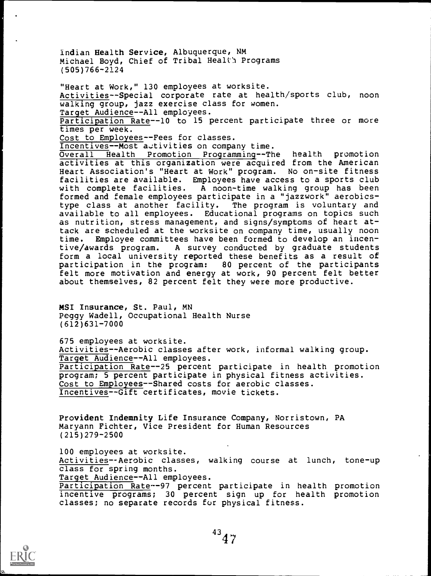Indian Health Service, Albuquerque, NM Michael Boyd, Chief of Tribal Health Programs (505)766-2124

"Heart at Work," 130 employees at worksite. Activities--Special corporate rate at health/sports club, noon walking group, jazz exercise class for women. Target Audience--All employees. Participation Rate--10 to 15 percent participate three or more times per week. Cost to Employees--Fees for classes. Incentives--Most activities on company time. Overall Health Promotion Programming--The health promotion activities at this organization were acquired from the American Heart Association's "Heart at Work" program. No on-site fitness facilities are available. Employees have access to a sports club with complete facilities. A noon-time walking group has been formed and female employees participate in a "jazzwork" aerobicstype class at another facility. The program is voluntary and available to all employees. Educational programs on topics such as nutrition, stress management, and signs/symptoms of heart attack are scheduled at the worksite on company time, usually noon time. Employee committees have been formed to develop an incen-<br>tive/awards program. A survey conducted by graduate students A survey conducted by graduate students form a local university reported these benefits as a result of participation in the program: 80 percent of the participants felt more motivation and energy at work, 90 percent felt better about themselves, 82 percent felt they were more productive.

MSI Insurance, St. Paul, MN Peggy Wadell, Occupational Health Nurse (612)631-7000

675 employees at worksite. Activities--Aerobic classes after work, informal walking group. Target Audience--All employees. Participation Rate--25 percent participate in health promotion program; 5 percent participate in physical fitness activities. Cost to Employees--Shared costs for aerobic classes. Incentives--Gift certificates, movie tickets.

Provident Indemnity Life Insurance Company, Norristown, PA Maryann Fichter, Vice President for Human Resources (215)279-2500

100 employees at worksite. Activities--Aerobic classes, walking course at lunch, tone-up class for spring months. Target Audience--All employees. Participation Rate--97 percent participate in health promotion incentive programs; 30 percent sign up for health promotion classes; no separate records for physical fitness.

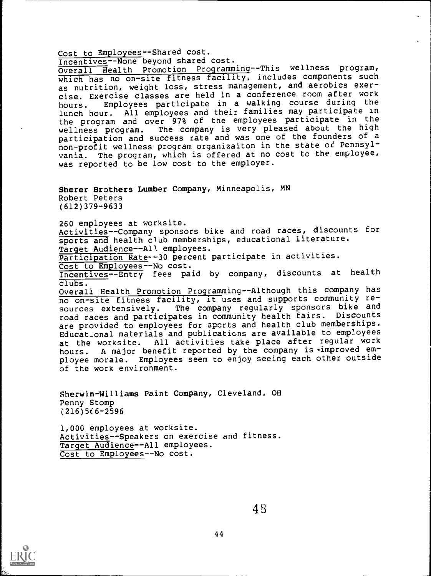Cost to Employees--Shared cost. Incentives--None beyond shared cost.

Overall Health Promotion Programming--This wellness program, which has no on-site fitness facility, includes components such as nutrition, weight loss, stress management, and aerobics exercise. Exercise classes are held in a conference room after work hours. Employees participate in a walking course during the lunch hour. All employees and their families may participate in the program and over 97% of the employees participate in the wellness program. The company is very pleased about the high participation and success rate and was one of the founders of a non-profit wellness program organizaiton in the state of Pennsylvania. The program, which is offered at no cost to the employee, was reported to be low cost to the employer.

Sherer Brothers Lumber Company, Minneapolis, MN Robert Peters (612)379-9633

260 employees at worksite. Activities--Company sponsors bike and road races, discounts for sports and health club memberships, educational literature. Target Audience--All employees.

Participation Rate -- 30 percent participate in activities.

Cost to Employees--No cost.

Incentives--Entry fees paid by company, discounts at health

clubs.<br>Overall Health Promo<u>tion Program</u>ming--Although this company has no on-site fitness facility, it uses and supports community resources extensively. The company regularly sponsors bike and road races and participates in community health fairs. Discounts are provided to employees for sports and health club memberships. Educat\_onal materials and publications are available to employees at the worksite. All activities take place after regular work hours. A major benefit reported by the company is improved employee morale. Employees seem to enjoy seeing each other outside of the work environment.

Sherwin-Williams Paint Company, Cleveland, OH Penny Stomp  $(216)566 - 2596$ 

1,000 employees at worksite. Activities--Speakers on exercise and fitness. Target Audience--All employees. Cost to Employees--No cost.



I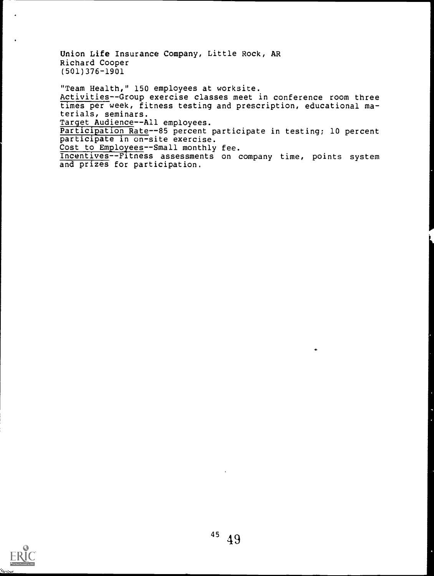Union Life Insurance Company, Little Rock, AR Richard Cooper (501)376-1901

"Team Health," 150 employees at worksite. Activities--Group exercise classes meet in conference room three times per week, fitness testing and prescription, educational materials, seminars. Target Audience--All employees. Participation Rate--85 percent participate in testing; 10 percent participate in on-site exercise. Cost to Employees--Small monthly fee. Incentives--Fitness assessments on company time, points system

and prizes for participation.

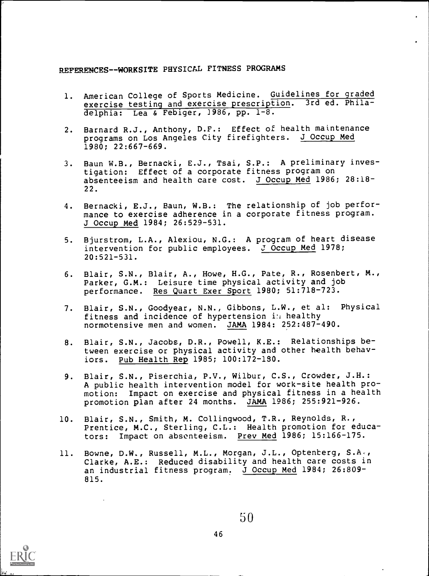# REFERENCES--WORKSITE PHYSICAL FITNESS PROGRAMS

- 1. American College of Sports Medicine. Guidelines for graded exercise testing and exercise prescription. 3rd ed. Philadelphia: Lea & Febiger, 1986, pp. 1-8.
- 2. Barnard R.J., Anthony, D.F.: Effect of health maintenance programs on Los Angeles City firefighters. J Occup Med 1980; 22:667-669.
- 3. Baun W.B., Bernacki, E.J., Tsai, S.P.: A preliminary investigation: Effect of a corporate fitness program on absenteeism and health care cost. J Occup Med 1986; 28:18- 22.
- 4. Bernacki, E.J., Baun, W.B.: The relationship of job performance to exercise adherence in a corporate fitness program. J Occup Med 1984; 26:529-531.
- 5. Bjurstrom, L.A., Alexiou, N.G.: A program of heart disease intervention for public employees. J Occup Med 1978; 20:521-531.
- 6. Blair, S.N., Blair, A., Howe, H.G., Pate, R., Rosenbert, M., Parker, G.M.: Leisure time physical activity and job performance. Res Quart Exer Sport 1980; 51:718-723.
- 7. Blair, S.N., Goodyear, N.N., Gibbons, L.W., et al: Physical fitness and incidence of hypertension in healthy normotensive men and women. JAMA 1984: 252:487-490.
- 8. Blair, S.N., Jacobs, D.R., Powell, K.E.: Relationships between exercise or physical activity and other health behaviors. Pub Health Rep 1985; 100:172-180.
- 9. Blair, S.N., Piserchia, P.V., Wilbur, C.S., Crowder, J.H.: A public health intervention model for work-site health promotion: Impact on exercise and physical fitness in a health promotion plan after 24 months. JAMA 1986; 255:921-926.
- 10. Blair, S.N., Smith, M. Collingwood, T.R., Reynolds, R., Prentice, M.C., Sterling, C.L.: Health promotion for educators: Impact on absenteeism. Prev Med 1986; 15:166-175.
- 11. Bowne, D.W., Russell, M.L., Morgan, J.L., Optenberg, S.A., Clarke, A.E.: Reduced disability and health care costs in an industrial fitness program. J Occup Med 1984; 26:809- 815.

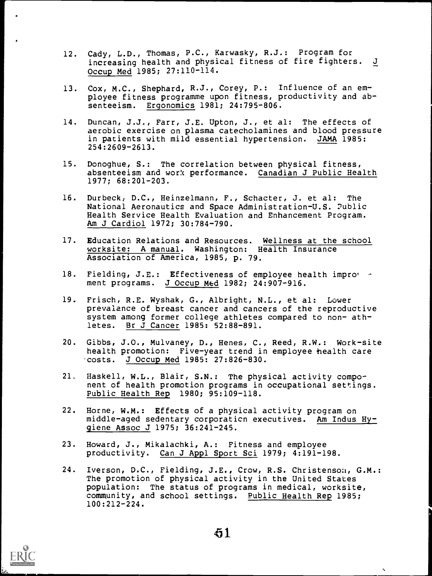- 12. Cady, L.D., Thomas, P.C., Karwasky, R.J.: Program for<br>increasing health and physical fitness of fire fighters. J increasing health and physical fitness of fire fighters. Occup Med 1985; 27:110-114.
- 13. Cox, M.C., Shephard, R.J., Corey, P.: Influence of an employee fitness programme upon fitness, productivity and absenteeism. Ergonomics 1981; 24:795-806.
- 14. Duncan, J.J., Farr, J.E. Upton, J., et al: The effects of aerobic exercise on plasma catecholamines and blood pressure in patients with mild essential hypertension. JAMA 1985: 254:2609-2613.
- 15. Donoghue, S.: The correlation between physical fitness, absenteeism and work performance. Canadian J Public Health 1977; 68:201-203.
- 16. Durbeck, D.C., Heinzelmann, F., Schacter, J. et al: The National Aeronautics and Space Administration-U.S. 2ublic Health Service Health Evaluation and Enhancement Program. Am J Cardiol 1972; 30:784-790.
- 17. Education Relations and Resources. Wellness at the school worksite: A manual. Washington: Health Insurance Association of America, 1985, p. 79.
- 18. Fielding, J.E.: Effectiveness of employee health improy ment programs. J Occup Med 1982; 24:907-916.
- 19. Frisch, R.E. Wyshak, G., Albright, N.L., et al: Lower prevalance of breast cancer and cancers of the reproductive system among former college athletes compared to non- athletes. Br J Cancer 1985: 52:88-891.
- 20. Gibbs, J.0., Mulvaney, D., Henes, C., Reed, R.W.: Work-site health promotion: Five-year trend in employee health care costs. J Occup Med 1985: 27:826-830.
- 21, Haskell, W.L., Blair, S.N.: The physical activity component of health promotion programs in occupational settings. Public Health Rep 1980; 95:109-118.
- 22. Horne, W.M.: Effects of a physical activity program on middle-aged sedentary corporation executives. Am Indus Hygiene Assoc J 1975; 36:241-245.
- 23. Howard, J., Mikalachki, A.: Fitness and employee productivity. Can J Appl Sport Sci 1979; 4:191-198.
- 24. Iverson, D.C., Fielding, J.E., Crow, R.S. Christenson, G.M.: The promotion of physical activity in the United States population: The status of programs in medical, worksite, community, and school settings. Public Health Rep 1985; 100:212-224.



ų.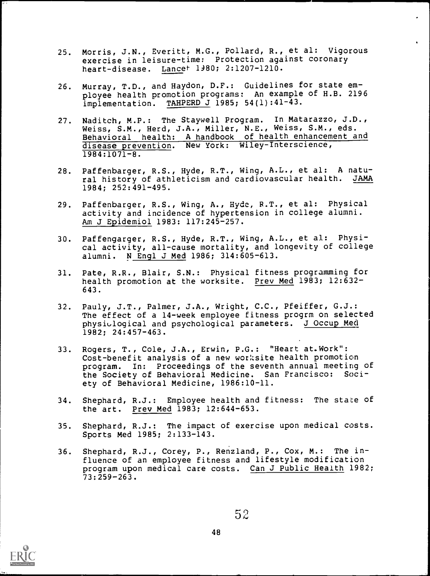- 25. Morris, J.N., Everitt, M.G., Pollard, R., et al: Vigorous exercise in leisure-time: Protection against coronary heart-disease. Lancet. 1980; 2:1207-1210.
- 26. Murray, T.D., and Haydon, D.F.: Guidelines for state employee health promotion programs: An example of H.B. 2196  $\overline{\text{imp}}$  lementation. TAHPERD J 1985; 54(1):41-43.
- 27. Naditch, M.P.: The Staywell Program. In Matarazzo, J.D., Weiss, S.M., Herd, J.A., Miller, N.E., Weiss, S.M., eds. Behavioral health: A handbook of health enhancement and disease prevention. New York: Wiley-Interscience,  $1984:1071-8.$
- 28. Paffenbarger, R.S., Hyde, R.T., Wing, A.L., et al: A natural history of athleticism and cardiovascular health. JAMA 1984; 252:491-495.
- 29. Paffenbarger, R.S., Wing, A., Hyde, R.T., et al: Physical activity and incidence of hypertension in college alumni. Am J Epidemiol 1983: 117:245-257.
- 30. Paffengarger, R.S., Hyde, R.T., Wing, A.L., et al: Physical activity, all-cause mortality, and longevity of college alumni. N Engl J Med 1986; 314:605-613.
- 31. Pate, R.R., Blair, S.N.: Physical fitness programming for health promotion at the worksite. Prey Med 1983; 12:632- 643.
- 32. Pauly, J.T., Palmer, J.A., Wright, C.C., Pfeiffer, G.J.: The effect of a 14-week employee fitness progrm on selected physiulogical and psychological parameters. J Occup Med 1982; 24:457-463.
- 33. Rogers, T., Cole, J.A., Erwin, P.C.: "Heart at.Work": Cost-benefit analysis of a new worksite health promotion program. In: Proceedings of the seventh annual meeting of the Society of Behavioral Medicine. San Francisco: Society of Behavioral Medicine, 1986:10-11.
- 34. Shephard, R.J.: Employee health and fitness: The state of the art. Prey Med 1983; 12:644-653.
- 35. Shephard, R.J.: The impact of exercise upon medical costs. Sports Med 1985; 2:133-143.
- 36. Shephard, R.J., Corey, P., Renzland, P., Cox, M.: The influence of an employee fitness and lifestyle modification program upon medical care costs. Can J Public Health 1982; 73:259-263.

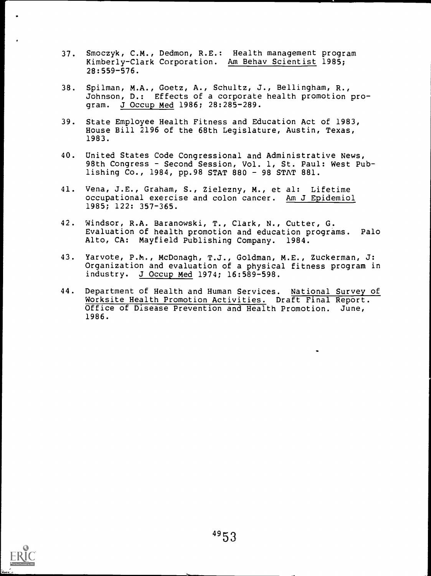- 37. Smoczyk, C.M., Dedmon, R.E.: Health management program Kimberly-Clark Corporation. Am Behav Scientist 1985; 28:559-576.
- 38. Spilman, M.A., Goetz, A., Schultz, J., Bellingham, R., Johnson, D.: Effects of a corporate health promotion program. J Occup Med 1986; 28:285-289.
- 39. State Employee Health Fitness and Education Act of 1983, House Bill 2196 of the 68th Legislature, Austin, Texas, 1983.
- 40. United States Code Congressional and Administrative News, 98th Congress - Second Session, Vol. 1, St. Paul: West Publishing Co., 1984, pp.98 STAT 880 - 98 STAT 881.
- 41. Vena, J.E., Graham, S., Zielezny, M., et al: Lifetime occupational exercise and colon cancer. Am J Epidemiol 1985; 122: 357-365.
- 42. Windsor, R.A. Baranowski, T., Clark, N., Cutter, G. Evaluation of health promotion and education programs. Palo Alto, CA: Mayfield Publishing Company. 1984.
- 43. Yarvote, P.M., McDonagh, T.J., Goldman, M.E., Zuckerman, J: Organization and evaluation of a physical fitness program in industry. J Occup Med 1974; 16:589-598.
- 44. Department of Health and Human Services. National Survey of Worksite Health Promotion Activities. Draft Final Report. Office of Disease Prevention and Health Promotion. June, 1986.

.

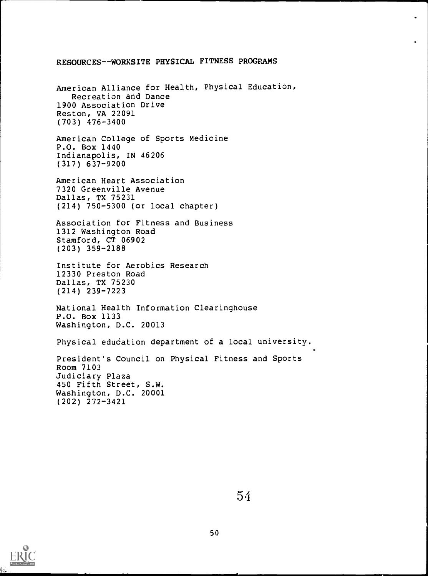#### RESOURCES-- WORKSITE PHYSICAL FITNESS PROGRAMS

American Alliance for Health, Physical Education, Recreation and Dance 1900 Association Drive Reston, VA 22091 (703) 476-3400

American College of Sports Medicine P.O. Box 1440 Indianapolis, IN 46206 (317) 637-9200

American Heart Association 7320 Greenville Avenue Dallas, TX 75231 (214) 750-5300 (or local chapter)

Association for Fitness and Business 1312 Washington Road Stamford, CT 06902 (203) 359-2188

Institute for Aerobics Research 12330 Preston Road Dallas, TX 75230 (214) 239-7223

National Health Information Clearinghouse P.O. Box 1133 Washington, D.C. 20013

Physical education department of a local university.

President's Council on Physical Fitness and Sports Room 7103 Judiciary Plaza 450 Fifth Street, S.W. Washington, D.C. 20001 (202) 272-3421